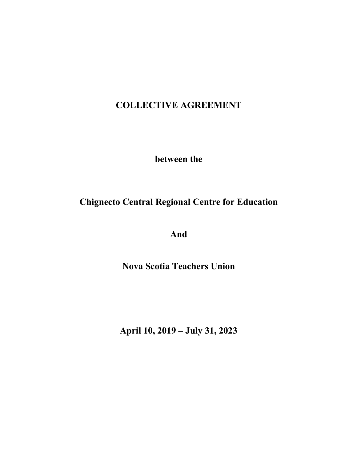# **COLLECTIVE AGREEMENT**

**between the**

# **Chignecto Central Regional Centre for Education**

**And**

**Nova Scotia Teachers Union**

**April 10, 2019 – July 31, 2023**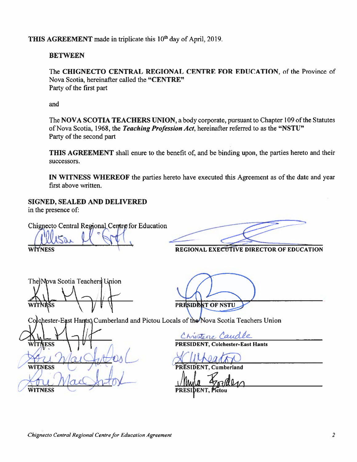THIS AGREEMENT made in triplicate this 10<sup>th</sup> day of April, 2019.

## **BETWEEN**

The CHIGNECTO CENTRAL REGIONAL CENTRE FOR EDUCATION, of the Province of Nova Scotia, hereinafter called the "CENTRE" Party of the first part

and

The NOVA SCOTIA TEACHERS UNION, a body corporate, pursuant to Chapter 109 of the Statutes of Nova Scotia, 1968, the Teaching Profession Act, hereinafter referred to as the "NSTU" Party of the second part

THIS AGREEMENT shall enure to the benefit of, and be binding upon, the parties hereto and their successors.

IN WITNESS WHEREOF the parties hereto have executed this Agreement as of the date and year first above written.

# SIGNED, SEALED AND DELIVERED

in the presence of:

TNESS

**VITNESS** 

WITNESS

Chignecto Central Regional Centre for Education

WITNESS

REGIONAL EXECUTIVE DIRECTOR OF EDUCATION

The Nova Scotia Teachers Union

PRESIDENT OF NSTU

Colchester-East Hants, Cumberland and Pictou Locals of the Nova Scotia Teachers Union

restore Caudle

**Colchester-East Hants** 

**Cumberland**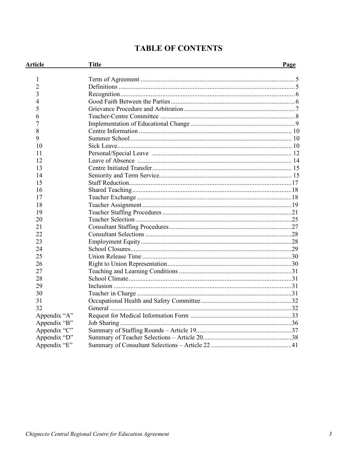| Article        | <b>Title</b> | Page |
|----------------|--------------|------|
| 1              |              |      |
| $\overline{2}$ |              |      |
| 3              |              |      |
| 4              |              |      |
| 5              |              |      |
| 6              |              |      |
| 7              |              |      |
| 8              |              |      |
| 9              |              |      |
| 10             |              |      |
| 11             |              |      |
| 12             |              |      |
| 13             |              |      |
| 14             |              |      |
| 15             |              |      |
| 16             |              |      |
| 17             |              |      |
| 18             |              |      |
| 19             |              |      |
| 20             |              |      |
| 21             |              |      |
| 22             |              |      |
| 23             |              |      |
| 24             |              |      |
| 25             |              |      |
| 26             |              |      |
| 27             |              |      |
| 28             |              |      |
| 29             |              |      |
| 30             |              |      |
| 31             |              |      |
| 32             |              |      |
| Appendix "A"   |              |      |
| Appendix "B"   |              |      |
| Appendix "C"   |              |      |
| Appendix "D"   |              |      |
| Appendix "E"   |              |      |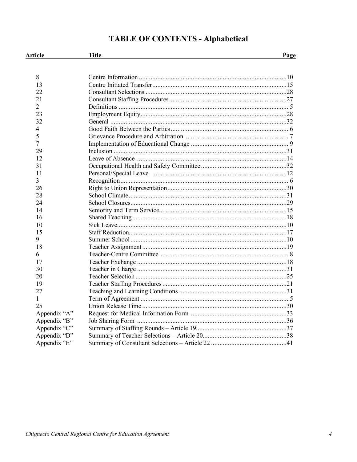# **TABLE OF CONTENTS - Alphabetical**

| <b>Article</b> | <b>Title</b> | Page |
|----------------|--------------|------|
|                |              |      |
| 8              |              |      |
| 13             |              |      |
| 22             |              |      |
| 21             |              |      |
| $\overline{2}$ |              |      |
| 23             |              |      |
| 32             |              |      |
| 4              |              |      |
| 5              |              |      |
| 7              |              |      |
| 29             |              |      |
| 12             |              |      |
| 31             |              |      |
| 11             |              |      |
| 3              |              |      |
| 26             |              |      |
| 28             |              |      |
| 24             |              |      |
| 14             |              |      |
| 16             |              |      |
| 10             |              |      |
| 15             |              |      |
| 9              |              |      |
| 18             |              |      |
| 6              |              |      |
| 17             |              |      |
| 30             |              |      |
| 20             |              |      |
| 19             |              |      |
| 27             |              |      |
| 1              |              |      |
| 25             |              |      |
| Appendix "A"   |              |      |
| Appendix "B"   |              |      |
| Appendix "C"   |              |      |
| Appendix "D"   |              |      |
| Appendix "E"   |              |      |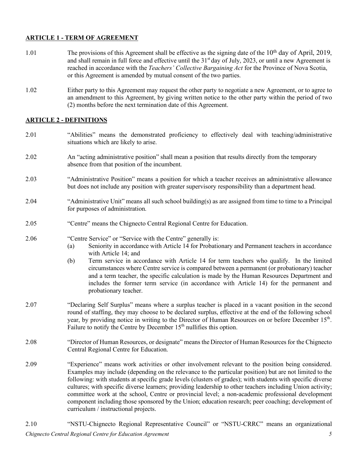## **ARTICLE 1 - TERM OF AGREEMENT**

- 1.01 The provisions of this Agreement shall be effective as the signing date of the  $10<sup>th</sup>$  day of April, 2019, and shall remain in full force and effective until the 31<sup>st</sup> day of July, 2023, or until a new Agreement is reached in accordance with the *Teachers' Collective Bargaining Act* for the Province of Nova Scotia, or this Agreement is amended by mutual consent of the two parties.
- 1.02 Either party to this Agreement may request the other party to negotiate a new Agreement, or to agree to an amendment to this Agreement, by giving written notice to the other party within the period of two (2) months before the next termination date of this Agreement.

## **ARTICLE 2 - DEFINITIONS**

- 2.01 "Abilities" means the demonstrated proficiency to effectively deal with teaching/administrative situations which are likely to arise.
- 2.02 An "acting administrative position" shall mean a position that results directly from the temporary absence from that position of the incumbent.
- 2.03 "Administrative Position" means a position for which a teacher receives an administrative allowance but does not include any position with greater supervisory responsibility than a department head.
- 2.04 "Administrative Unit" means all such school building(s) as are assigned from time to time to a Principal for purposes of administration.
- 2.05 "Centre" means the Chignecto Central Regional Centre for Education.
- 2.06 "Centre Service" or "Service with the Centre" generally is:
	- (a) Seniority in accordance with Article 14 for Probationary and Permanent teachers in accordance with Article 14; and
	- (b) Term service in accordance with Article 14 for term teachers who qualify. In the limited circumstances where Centre service is compared between a permanent (or probationary) teacher and a term teacher, the specific calculation is made by the Human Resources Department and includes the former term service (in accordance with Article 14) for the permanent and probationary teacher.
- 2.07 "Declaring Self Surplus" means where a surplus teacher is placed in a vacant position in the second round of staffing, they may choose to be declared surplus, effective at the end of the following school year, by providing notice in writing to the Director of Human Resources on or before December 15<sup>th</sup>. Failure to notify the Centre by December 15<sup>th</sup> nullifies this option.
- 2.08 "Director of Human Resources, or designate" means the Director of Human Resources for the Chignecto Central Regional Centre for Education.
- 2.09 "Experience" means work activities or other involvement relevant to the position being considered. Examples may include (depending on the relevance to the particular position) but are not limited to the following: with students at specific grade levels (clusters of grades); with students with specific diverse cultures; with specific diverse learners; providing leadership to other teachers including Union activity; committee work at the school, Centre or provincial level; a non-academic professional development component including those sponsored by the Union; education research; peer coaching; development of curriculum / instructional projects.
- *Chignecto Central Regional Centre for Education Agreement 5* 2.10 "NSTU-Chignecto Regional Representative Council" or "NSTU-CRRC" means an organizational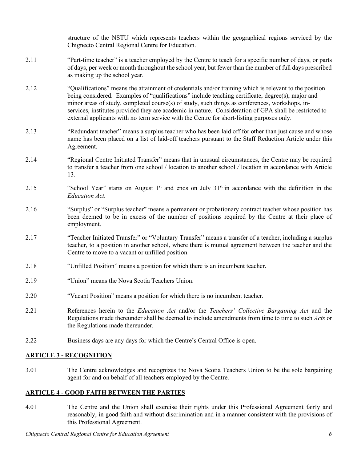structure of the NSTU which represents teachers within the geographical regions serviced by the Chignecto Central Regional Centre for Education.

- 2.11 "Part-time teacher" is a teacher employed by the Centre to teach for a specific number of days, or parts of days, per week or month throughout the school year, but fewer than the number of full days prescribed as making up the school year.
- 2.12 "Qualifications" means the attainment of credentials and/or training which is relevant to the position being considered. Examples of "qualifications" include teaching certificate, degree(s), major and minor areas of study, completed course(s) of study, such things as conferences, workshops, inservices, institutes provided they are academic in nature. Consideration of GPA shall be restricted to external applicants with no term service with the Centre for short-listing purposes only.
- 2.13 "Redundant teacher" means a surplus teacher who has been laid off for other than just cause and whose name has been placed on a list of laid-off teachers pursuant to the Staff Reduction Article under this Agreement.
- 2.14 "Regional Centre Initiated Transfer" means that in unusual circumstances, the Centre may be required to transfer a teacher from one school / location to another school */* location in accordance with Article 13.
- 2.15 "School Year" starts on August  $1<sup>st</sup>$  and ends on July  $31<sup>st</sup>$  in accordance with the definition in the *Education Act*.
- 2.16 "Surplus" or "Surplus teacher" means a permanent or probationary contract teacher whose position has been deemed to be in excess of the number of positions required by the Centre at their place of employment.
- 2.17 "Teacher Initiated Transfer" or "Voluntary Transfer" means a transfer of a teacher, including a surplus teacher, to a position in another school, where there is mutual agreement between the teacher and the Centre to move to a vacant or unfilled position.
- 2.18 "Unfilled Position" means a position for which there is an incumbent teacher.
- 2.19 "Union" means the Nova Scotia Teachers Union.
- 2.20 "Vacant Position" means a position for which there is no incumbent teacher.
- 2.21 References herein to the *Education Act* and/or the *Teachers' Collective Bargaining Act* and the Regulations made thereunder shall be deemed to include amendments from time to time to such *Acts* or the Regulations made thereunder.
- 2.22 Business days are any days for which the Centre's Central Office is open.

#### **ARTICLE 3 - RECOGNITION**

3.01 The Centre acknowledges and recognizes the Nova Scotia Teachers Union to be the sole bargaining agent for and on behalf of all teachers employed by the Centre.

## **ARTICLE 4 - GOOD FAITH BETWEEN THE PARTIES**

4.01 The Centre and the Union shall exercise their rights under this Professional Agreement fairly and reasonably, in good faith and without discrimination and in a manner consistent with the provisions of this Professional Agreement.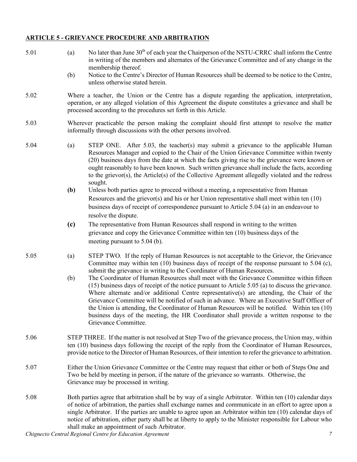# **ARTICLE 5 - GRIEVANCE PROCEDURE AND ARBITRATION**

| 5.01 | (a)<br>(b)                                                                                                                                                                                                                                                                                                                                                                                                                                                                                        | No later than June 30 <sup>th</sup> of each year the Chairperson of the NSTU-CRRC shall inform the Centre<br>in writing of the members and alternates of the Grievance Committee and of any change in the<br>membership thereof.<br>Notice to the Centre's Director of Human Resources shall be deemed to be notice to the Centre,<br>unless otherwise stated herein.                                                                                                                                                                                                                                             |  |  |
|------|---------------------------------------------------------------------------------------------------------------------------------------------------------------------------------------------------------------------------------------------------------------------------------------------------------------------------------------------------------------------------------------------------------------------------------------------------------------------------------------------------|-------------------------------------------------------------------------------------------------------------------------------------------------------------------------------------------------------------------------------------------------------------------------------------------------------------------------------------------------------------------------------------------------------------------------------------------------------------------------------------------------------------------------------------------------------------------------------------------------------------------|--|--|
| 5.02 |                                                                                                                                                                                                                                                                                                                                                                                                                                                                                                   | Where a teacher, the Union or the Centre has a dispute regarding the application, interpretation,<br>operation, or any alleged violation of this Agreement the dispute constitutes a grievance and shall be<br>processed according to the procedures set forth in this Article.                                                                                                                                                                                                                                                                                                                                   |  |  |
| 5.03 | Wherever practicable the person making the complaint should first attempt to resolve the matter<br>informally through discussions with the other persons involved.                                                                                                                                                                                                                                                                                                                                |                                                                                                                                                                                                                                                                                                                                                                                                                                                                                                                                                                                                                   |  |  |
| 5.04 | (a)                                                                                                                                                                                                                                                                                                                                                                                                                                                                                               | STEP ONE. After 5.03, the teacher(s) may submit a grievance to the applicable Human<br>Resources Manager and copied to the Chair of the Union Grievance Committee within twenty<br>(20) business days from the date at which the facts giving rise to the grievance were known or<br>ought reasonably to have been known. Such written grievance shall include the facts, according<br>to the grievor(s), the Article(s) of the Collective Agreement allegedly violated and the redress<br>sought.                                                                                                                |  |  |
|      | (b)                                                                                                                                                                                                                                                                                                                                                                                                                                                                                               | Unless both parties agree to proceed without a meeting, a representative from Human<br>Resources and the grievor(s) and his or her Union representative shall meet within ten $(10)$<br>business days of receipt of correspondence pursuant to Article 5.04 (a) in an endeavour to<br>resolve the dispute.                                                                                                                                                                                                                                                                                                        |  |  |
|      | (c)                                                                                                                                                                                                                                                                                                                                                                                                                                                                                               | The representative from Human Resources shall respond in writing to the written<br>grievance and copy the Grievance Committee within ten (10) business days of the<br>meeting pursuant to $5.04$ (b).                                                                                                                                                                                                                                                                                                                                                                                                             |  |  |
| 5.05 | (a)                                                                                                                                                                                                                                                                                                                                                                                                                                                                                               | STEP TWO. If the reply of Human Resources is not acceptable to the Grievor, the Grievance<br>Committee may within ten (10) business days of receipt of the response pursuant to 5.04 (c),<br>submit the grievance in writing to the Coordinator of Human Resources.                                                                                                                                                                                                                                                                                                                                               |  |  |
|      | (b)                                                                                                                                                                                                                                                                                                                                                                                                                                                                                               | The Coordinator of Human Resources shall meet with the Grievance Committee within fifteen<br>(15) business days of receipt of the notice pursuant to Article 5.05 (a) to discuss the grievance.<br>Where alternate and/or additional Centre representative(s) are attending, the Chair of the<br>Grievance Committee will be notified of such in advance. Where an Executive Staff Officer of<br>the Union is attending, the Coordinator of Human Resources will be notified. Within ten (10)<br>business days of the meeting, the HR Coordinator shall provide a written response to the<br>Grievance Committee. |  |  |
| 5.06 | STEP THREE. If the matter is not resolved at Step Two of the grievance process, the Union may, within<br>ten (10) business days following the receipt of the reply from the Coordinator of Human Resources,<br>provide notice to the Director of Human Resources, of their intention to refer the grievance to arbitration.                                                                                                                                                                       |                                                                                                                                                                                                                                                                                                                                                                                                                                                                                                                                                                                                                   |  |  |
| 5.07 | Either the Union Grievance Committee or the Centre may request that either or both of Steps One and<br>Two be held by meeting in person, if the nature of the grievance so warrants. Otherwise, the<br>Grievance may be processed in writing.                                                                                                                                                                                                                                                     |                                                                                                                                                                                                                                                                                                                                                                                                                                                                                                                                                                                                                   |  |  |
| 5.08 | Both parties agree that arbitration shall be by way of a single Arbitrator. Within ten (10) calendar days<br>of notice of arbitration, the parties shall exchange names and communicate in an effort to agree upon a<br>single Arbitrator. If the parties are unable to agree upon an Arbitrator within ten (10) calendar days of<br>notice of arbitration, either party shall be at liberty to apply to the Minister responsible for Labour who<br>shall make an appointment of such Arbitrator. |                                                                                                                                                                                                                                                                                                                                                                                                                                                                                                                                                                                                                   |  |  |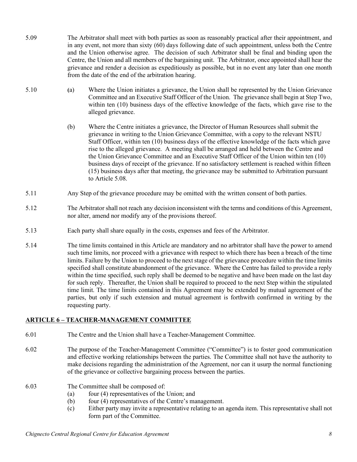- 5.09 The Arbitrator shall meet with both parties as soon as reasonably practical after their appointment, and in any event, not more than sixty (60) days following date of such appointment, unless both the Centre and the Union otherwise agree. The decision of such Arbitrator shall be final and binding upon the Centre, the Union and all members of the bargaining unit. The Arbitrator, once appointed shall hear the grievance and render a decision as expeditiously as possible, but in no event any later than one month from the date of the end of the arbitration hearing.
- 5.10 **(**a) Where the Union initiates a grievance, the Union shall be represented by the Union Grievance Committee and an Executive Staff Officer of the Union. The grievance shall begin at Step Two, within ten (10) business days of the effective knowledge of the facts, which gave rise to the alleged grievance.
	- (b) Where the Centre initiates a grievance, the Director of Human Resources shall submit the grievance in writing to the Union Grievance Committee, with a copy to the relevant NSTU Staff Officer, within ten (10) business days of the effective knowledge of the facts which gave rise to the alleged grievance. A meeting shall be arranged and held between the Centre and the Union Grievance Committee and an Executive Staff Officer of the Union within ten (10) business days of receipt of the grievance. If no satisfactory settlement is reached within fifteen (15) business days after that meeting, the grievance may be submitted to Arbitration pursuant to Article 5.08.
- 5.11 Any Step of the grievance procedure may be omitted with the written consent of both parties.
- 5.12 The Arbitrator shall not reach any decision inconsistent with the terms and conditions of this Agreement, nor alter, amend nor modify any of the provisions thereof.
- 5.13 Each party shall share equally in the costs, expenses and fees of the Arbitrator.
- 5.14 The time limits contained in this Article are mandatory and no arbitrator shall have the power to amend such time limits, nor proceed with a grievance with respect to which there has been a breach of the time limits. Failure by the Union to proceed to the next stage of the grievance procedure within the time limits specified shall constitute abandonment of the grievance. Where the Centre has failed to provide a reply within the time specified, such reply shall be deemed to be negative and have been made on the last day for such reply. Thereafter, the Union shall be required to proceed to the next Step within the stipulated time limit. The time limits contained in this Agreement may be extended by mutual agreement of the parties, but only if such extension and mutual agreement is forthwith confirmed in writing by the requesting party.

## **ARTICLE 6 – TEACHER-MANAGEMENT COMMITTEE**

- 6.01 The Centre and the Union shall have a Teacher-Management Committee.
- 6.02 The purpose of the Teacher-Management Committee ("Committee") is to foster good communication and effective working relationships between the parties. The Committee shall not have the authority to make decisions regarding the administration of the Agreement, nor can it usurp the normal functioning of the grievance or collective bargaining process between the parties.
- 
- 6.03 The Committee shall be composed of:
	- (a) four (4) representatives of the Union; and
	- (b) four (4) representatives of the Centre's management.
	- (c) Either party may invite a representative relating to an agenda item. This representative shall not form part of the Committee.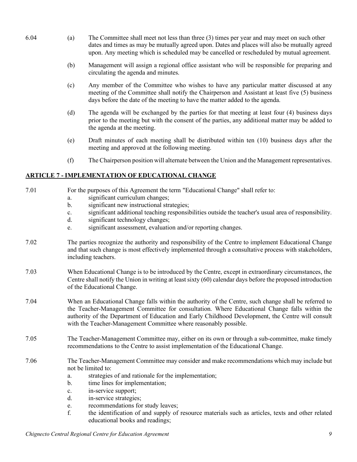- 6.04 (a) The Committee shall meet not less than three (3) times per year and may meet on such other dates and times as may be mutually agreed upon. Dates and places will also be mutually agreed upon. Any meeting which is scheduled may be cancelled or rescheduled by mutual agreement.
	- (b) Management will assign a regional office assistant who will be responsible for preparing and circulating the agenda and minutes.
	- (c) Any member of the Committee who wishes to have any particular matter discussed at any meeting of the Committee shall notify the Chairperson and Assistant at least five (5) business days before the date of the meeting to have the matter added to the agenda.
	- (d) The agenda will be exchanged by the parties for that meeting at least four (4) business days prior to the meeting but with the consent of the parties, any additional matter may be added to the agenda at the meeting.
	- (e) Draft minutes of each meeting shall be distributed within ten (10) business days after the meeting and approved at the following meeting.
	- (f) The Chairperson position will alternate between the Union and the Management representatives.

## **ARTICLE 7 - IMPLEMENTATION OF EDUCATIONAL CHANGE**

| 7.01 | For the purposes of this Agreement the term "Educational Change" shall refer to:<br>significant curriculum changes;<br>a.<br>significant new instructional strategies;<br>$\mathbf{b}$ .<br>significant additional teaching responsibilities outside the teacher's usual area of responsibility.<br>c.<br>significant technology changes;<br>$d_{\cdot}$<br>significant assessment, evaluation and/or reporting changes.<br>e.                                                           |  |  |  |
|------|------------------------------------------------------------------------------------------------------------------------------------------------------------------------------------------------------------------------------------------------------------------------------------------------------------------------------------------------------------------------------------------------------------------------------------------------------------------------------------------|--|--|--|
| 7.02 | The parties recognize the authority and responsibility of the Centre to implement Educational Change<br>and that such change is most effectively implemented through a consultative process with stakeholders,<br>including teachers.                                                                                                                                                                                                                                                    |  |  |  |
| 7.03 | When Educational Change is to be introduced by the Centre, except in extraordinary circumstances, the<br>Centre shall notify the Union in writing at least sixty (60) calendar days before the proposed introduction<br>of the Educational Change.                                                                                                                                                                                                                                       |  |  |  |
| 7.04 | When an Educational Change falls within the authority of the Centre, such change shall be referred to<br>the Teacher-Management Committee for consultation. Where Educational Change falls within the<br>authority of the Department of Education and Early Childhood Development, the Centre will consult<br>with the Teacher-Management Committee where reasonably possible.                                                                                                           |  |  |  |
| 7.05 | The Teacher-Management Committee may, either on its own or through a sub-committee, make timely<br>recommendations to the Centre to assist implementation of the Educational Change.                                                                                                                                                                                                                                                                                                     |  |  |  |
| 7.06 | The Teacher-Management Committee may consider and make recommendations which may include but<br>not be limited to:<br>strategies of and rationale for the implementation;<br>a.<br>time lines for implementation;<br>$\mathbf{b}$ .<br>in-service support;<br>c.<br>d.<br>in-service strategies;<br>recommendations for study leaves;<br>e.<br>f.<br>the identification of and supply of resource materials such as articles, texts and other related<br>educational books and readings; |  |  |  |

*Chignecto Central Regional Centre for Education Agreement 9*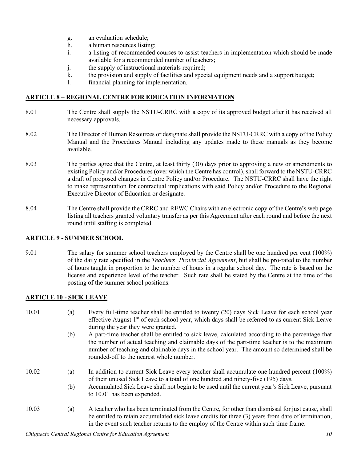- g. an evaluation schedule;
- h. a human resources listing;
- i. a listing of recommended courses to assist teachers in implementation which should be made available for a recommended number of teachers;
- j. the supply of instructional materials required;
- k. the provision and supply of facilities and special equipment needs and a support budget;
- l. financial planning for implementation.

## **ARTICLE 8 – REGIONAL CENTRE FOR EDUCATION INFORMATION**

- 8.01 The Centre shall supply the NSTU-CRRC with a copy of its approved budget after it has received all necessary approvals.
- 8.02 The Director of Human Resources or designate shall provide the NSTU-CRRC with a copy of the Policy Manual and the Procedures Manual including any updates made to these manuals as they become available.
- 8.03 The parties agree that the Centre, at least thirty (30) days prior to approving a new or amendments to existing Policy and/or Procedures (over which the Centre has control), shall forward to the NSTU-CRRC a draft of proposed changes in Centre Policy and/or Procedure. The NSTU-CRRC shall have the right to make representation for contractual implications with said Policy and/or Procedure to the Regional Executive Director of Education or designate.
- 8.04 The Centre shall provide the CRRC and REWC Chairs with an electronic copy of the Centre's web page listing all teachers granted voluntary transfer as per this Agreement after each round and before the next round until staffing is completed.

#### **ARTICLE 9 - SUMMER SCHOOL**

9.01 The salary for summer school teachers employed by the Centre shall be one hundred per cent (100%) of the daily rate specified in the *Teachers' Provincial Agreement*, but shall be pro-rated to the number of hours taught in proportion to the number of hours in a regular school day. The rate is based on the license and experience level of the teacher. Such rate shall be stated by the Centre at the time of the posting of the summer school positions.

## **ARTICLE 10 - SICK LEAVE**

- 10.01 (a) Every full-time teacher shall be entitled to twenty (20) days Sick Leave for each school year effective August 1<sup>st</sup> of each school year, which days shall be referred to as current Sick Leave during the year they were granted.
	- (b) A part-time teacher shall be entitled to sick leave, calculated according to the percentage that the number of actual teaching and claimable days of the part-time teacher is to the maximum number of teaching and claimable days in the school year. The amount so determined shall be rounded-off to the nearest whole number.
- 10.02 (a) In addition to current Sick Leave every teacher shall accumulate one hundred percent (100%) of their unused Sick Leave to a total of one hundred and ninety-five (195) days.
	- (b) Accumulated Sick Leave shall not begin to be used until the current year's Sick Leave, pursuant to 10.01 has been expended.
- 10.03 (a) A teacher who has been terminated from the Centre, for other than dismissal for just cause, shall be entitled to retain accumulated sick leave credits for three (3) years from date of termination, in the event such teacher returns to the employ of the Centre within such time frame.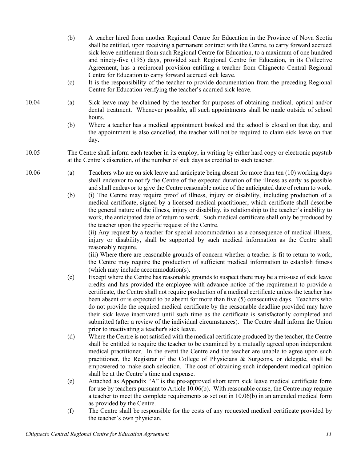- (b) A teacher hired from another Regional Centre for Education in the Province of Nova Scotia shall be entitled, upon receiving a permanent contract with the Centre, to carry forward accrued sick leave entitlement from such Regional Centre for Education, to a maximum of one hundred and ninety-five (195) days, provided such Regional Centre for Education, in its Collective Agreement, has a reciprocal provision entitling a teacher from Chignecto Central Regional Centre for Education to carry forward accrued sick leave.
- (c) It is the responsibility of the teacher to provide documentation from the preceding Regional Centre for Education verifying the teacher's accrued sick leave.
- 10.04 (a) Sick leave may be claimed by the teacher for purposes of obtaining medical, optical and/or dental treatment. Whenever possible, all such appointments shall be made outside of school hours.
	- (b) Where a teacher has a medical appointment booked and the school is closed on that day, and the appointment is also cancelled, the teacher will not be required to claim sick leave on that day.
- 10.05 The Centre shall inform each teacher in its employ, in writing by either hard copy or electronic paystub at the Centre's discretion, of the number of sick days as credited to such teacher.
- 10.06 (a) Teachers who are on sick leave and anticipate being absent for more than ten (10) working days shall endeavor to notify the Centre of the expected duration of the illness as early as possible and shall endeavor to give the Centre reasonable notice of the anticipated date of return to work.
	- (b) (i) The Centre may require proof of illness, injury or disability, including production of a medical certificate, signed by a licensed medical practitioner, which certificate shall describe the general nature of the illness, injury or disability, its relationship to the teacher's inability to work, the anticipated date of return to work. Such medical certificate shall only be produced by the teacher upon the specific request of the Centre.

(ii) Any request by a teacher for special accommodation as a consequence of medical illness, injury or disability, shall be supported by such medical information as the Centre shall reasonably require.

(iii) Where there are reasonable grounds of concern whether a teacher is fit to return to work, the Centre may require the production of sufficient medical information to establish fitness (which may include accommodation(s).

- (c) Except where the Centre has reasonable grounds to suspect there may be a mis-use of sick leave credits and has provided the employee with advance notice of the requirement to provide a certificate, the Centre shall not require production of a medical certificate unless the teacher has been absent or is expected to be absent for more than five (5) consecutive days. Teachers who do not provide the required medical certificate by the reasonable deadline provided may have their sick leave inactivated until such time as the certificate is satisfactorily completed and submitted (after a review of the individual circumstances). The Centre shall inform the Union prior to inactivating a teacher's sick leave.
- (d) Where the Centre is not satisfied with the medical certificate produced by the teacher, the Centre shall be entitled to require the teacher to be examined by a mutually agreed upon independent medical practitioner. In the event the Centre and the teacher are unable to agree upon such practitioner, the Registrar of the College of Physicians & Surgeons, or delegate, shall be empowered to make such selection. The cost of obtaining such independent medical opinion shall be at the Centre's time and expense.
- (e) Attached as Appendix "A" is the pre-approved short term sick leave medical certificate form for use by teachers pursuant to Article 10.06(b). With reasonable cause, the Centre may require a teacher to meet the complete requirements as set out in 10.06(b) in an amended medical form as provided by the Centre.
- (f) The Centre shall be responsible for the costs of any requested medical certificate provided by the teacher's own physician.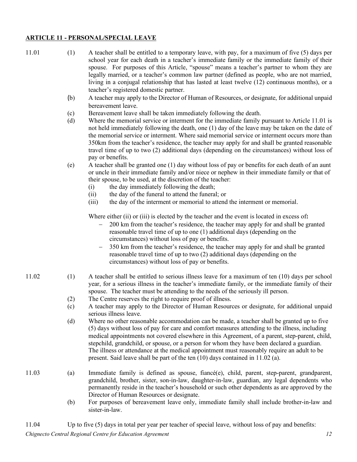#### **ARTICLE 11 - PERSONAL/SPECIAL LEAVE**

| 11.01 | (1)        | A teacher shall be entitled to a temporary leave, with pay, for a maximum of five (5) days per<br>school year for each death in a teacher's immediate family or the immediate family of their<br>spouse. For purposes of this Article, "spouse" means a teacher's partner to whom they are<br>legally married, or a teacher's common law partner (defined as people, who are not married,<br>living in a conjugal relationship that has lasted at least twelve (12) continuous months), or a<br>teacher's registered domestic partner.                                                     |
|-------|------------|--------------------------------------------------------------------------------------------------------------------------------------------------------------------------------------------------------------------------------------------------------------------------------------------------------------------------------------------------------------------------------------------------------------------------------------------------------------------------------------------------------------------------------------------------------------------------------------------|
|       | (b)        | A teacher may apply to the Director of Human of Resources, or designate, for additional unpaid<br>bereavement leave.                                                                                                                                                                                                                                                                                                                                                                                                                                                                       |
|       | (c)<br>(d) | Bereavement leave shall be taken immediately following the death.<br>Where the memorial service or interment for the immediate family pursuant to Article 11.01 is<br>not held immediately following the death, one (1) day of the leave may be taken on the date of<br>the memorial service or interment. Where said memorial service or interment occurs more than<br>350km from the teacher's residence, the teacher may apply for and shall be granted reasonable<br>travel time of up to two (2) additional days (depending on the circumstances) without loss of<br>pay or benefits. |
|       | (e)        | A teacher shall be granted one (1) day without loss of pay or benefits for each death of an aunt<br>or uncle in their immediate family and/or niece or nephew in their immediate family or that of<br>their spouse, to be used, at the discretion of the teacher:<br>the day immediately following the death;<br>(i)<br>the day of the funeral to attend the funeral; or<br>(ii)                                                                                                                                                                                                           |
|       |            | the day of the interment or memorial to attend the interment or memorial.<br>(iii)                                                                                                                                                                                                                                                                                                                                                                                                                                                                                                         |
|       |            | Where either (ii) or (iii) is elected by the teacher and the event is located in excess of:<br>200 km from the teacher's residence, the teacher may apply for and shall be granted<br>reasonable travel time of up to one (1) additional days (depending on the<br>circumstances) without loss of pay or benefits.<br>350 km from the teacher's residence, the teacher may apply for and shall be granted<br>reasonable travel time of up to two (2) additional days (depending on the<br>circumstances) without loss of pay or benefits.                                                  |
| 11.02 | (1)        | A teacher shall be entitled to serious illness leave for a maximum of ten (10) days per school<br>year, for a serious illness in the teacher's immediate family, or the immediate family of their<br>spouse. The teacher must be attending to the needs of the seriously ill person.                                                                                                                                                                                                                                                                                                       |
|       | (2)<br>(c) | The Centre reserves the right to require proof of illness.<br>A teacher may apply to the Director of Human Resources or designate, for additional unpaid<br>serious illness leave.                                                                                                                                                                                                                                                                                                                                                                                                         |
|       | (d)        | Where no other reasonable accommodation can be made, a teacher shall be granted up to five<br>(5) days without loss of pay for care and comfort measures attending to the illness, including<br>medical appointments not covered elsewhere in this Agreement, of a parent, step-parent, child,<br>stepchild, grandchild, or spouse, or a person for whom they have been declared a guardian.<br>The illness or attendance at the medical appointment must reasonably require an adult to be<br>present. Said leave shall be part of the ten (10) days contained in 11.02 (a).              |
| 11.03 | (a)        | Immediate family is defined as spouse, fiancé(e), child, parent, step-parent, grandparent,<br>grandchild, brother, sister, son-in-law, daughter-in-law, guardian, any legal dependents who<br>permanently reside in the teacher's household or such other dependents as are approved by the<br>Director of Human Resources or designate.                                                                                                                                                                                                                                                   |
|       | (b)        | For purposes of bereavement leave only, immediate family shall include brother-in-law and<br>sister-in-law.                                                                                                                                                                                                                                                                                                                                                                                                                                                                                |

*Chignecto Central Regional Centre for Education Agreement 12* 11.04 Up to five (5) days in total per year per teacher of special leave, without loss of pay and benefits: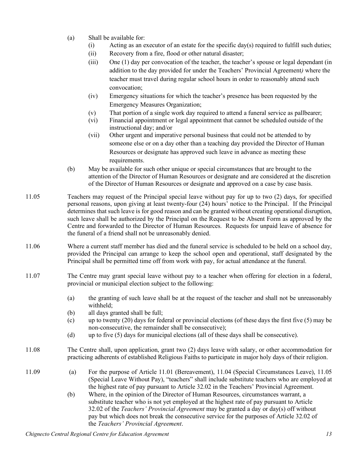- (a) Shall be available for:
	- (i) Acting as an executor of an estate for the specific day(s) required to fulfill such duties;
	- (ii) Recovery from a fire, flood or other natural disaster;
	- (iii) One (1) day per convocation of the teacher, the teacher's spouse or legal dependant (in addition to the day provided for under the Teachers' Provincial Agreement*)* where the teacher must travel during regular school hours in order to reasonably attend such convocation;
	- (iv) Emergency situations for which the teacher's presence has been requested by the Emergency Measures Organization;
	- (v) That portion of a single work day required to attend a funeral service as pallbearer;
	- (vi) Financial appointment or legal appointment that cannot be scheduled outside of the instructional day; and/or
	- (vii) Other urgent and imperative personal business that could not be attended to by someone else or on a day other than a teaching day provided the Director of Human Resources or designate has approved such leave in advance as meeting these requirements.
- (b) May be available for such other unique or special circumstances that are brought to the attention of the Director of Human Resources or designate and are considered at the discretion of the Director of Human Resources or designate and approved on a case by case basis.
- 11.05 Teachers may request of the Principal special leave without pay for up to two (2) days, for specified personal reasons, upon giving at least twenty-four (24) hours' notice to the Principal. If the Principal determines that such leave is for good reason and can be granted without creating operational disruption, such leave shall be authorized by the Principal on the Request to be Absent Form as approved by the Centre and forwarded to the Director of Human Resources. Requests for unpaid leave of absence for the funeral of a friend shall not be unreasonably denied.
- 11.06 Where a current staff member has died and the funeral service is scheduled to be held on a school day, provided the Principal can arrange to keep the school open and operational, staff designated by the Principal shall be permitted time off from work with pay, for actual attendance at the funeral.
- 11.07 The Centre may grant special leave without pay to a teacher when offering for election in a federal, provincial or municipal election subject to the following:
	- (a) the granting of such leave shall be at the request of the teacher and shall not be unreasonably withheld;
	- (b) all days granted shall be full;
	- (c) up to twenty (20) days for federal or provincial elections (of these days the first five (5) may be non-consecutive, the remainder shall be consecutive);
	- (d) up to five (5) days for municipal elections (all of these days shall be consecutive).
- 11.08 The Centre shall, upon application, grant two (2) days leave with salary, or other accommodation for practicing adherents of established Religious Faiths to participate in major holy days of their religion.
- 11.09 (a) For the purpose of Article 11.01 (Bereavement), 11.04 (Special Circumstances Leave), 11.05 (Special Leave Without Pay), "teachers" shall include substitute teachers who are employed at the highest rate of pay pursuant to Article 32.02 in the Teachers' Provincial Agreement.
	- (b) Where, in the opinion of the Director of Human Resources, circumstances warrant, a substitute teacher who is not yet employed at the highest rate of pay pursuant to Article 32.02 of the *Teachers' Provincial Agreement* may be granted a day or day(s) off without pay but which does not break the consecutive service for the purposes of Article 32.02 of the *Teachers' Provincial Agreement*.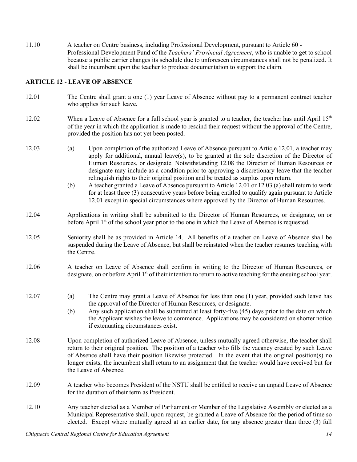11.10 A teacher on Centre business, including Professional Development, pursuant to Article 60 - Professional Development Fund of the *Teachers' Provincial Agreement*, who is unable to get to school because a public carrier changes its schedule due to unforeseen circumstances shall not be penalized. It shall be incumbent upon the teacher to produce documentation to support the claim.

## **ARTICLE 12 - LEAVE OF ABSENCE**

- 12.01 The Centre shall grant a one (1) year Leave of Absence without pay to a permanent contract teacher who applies for such leave.
- 12.02 When a Leave of Absence for a full school year is granted to a teacher, the teacher has until April  $15<sup>th</sup>$ of the year in which the application is made to rescind their request without the approval of the Centre, provided the position has not yet been posted.
- 12.03 (a) Upon completion of the authorized Leave of Absence pursuant to Article 12.01, a teacher may apply for additional, annual leave(s), to be granted at the sole discretion of the Director of Human Resources, or designate. Notwithstanding 12.08 the Director of Human Resources or designate may include as a condition prior to approving a discretionary leave that the teacher relinquish rights to their original position and be treated as surplus upon return.
	- (b) A teacher granted a Leave of Absence pursuant to Article 12.01 or 12.03 (a) shall return to work for at least three (3) consecutive years before being entitled to qualify again pursuant to Article 12.01 except in special circumstances where approved by the Director of Human Resources.
- 12.04 Applications in writing shall be submitted to the Director of Human Resources, or designate, on or before April 1<sup>st</sup> of the school year prior to the one in which the Leave of Absence is requested.
- 12.05 Seniority shall be as provided in Article 14. All benefits of a teacher on Leave of Absence shall be suspended during the Leave of Absence, but shall be reinstated when the teacher resumes teaching with the Centre.
- 12.06 A teacher on Leave of Absence shall confirm in writing to the Director of Human Resources, or designate, on or before April 1<sup>st</sup> of their intention to return to active teaching for the ensuing school year.
- 12.07 (a) The Centre may grant a Leave of Absence for less than one (1) year, provided such leave has the approval of the Director of Human Resources, or designate.
	- (b) Any such application shall be submitted at least forty-five (45) days prior to the date on which the Applicant wishes the leave to commence. Applications may be considered on shorter notice if extenuating circumstances exist.
- 12.08 Upon completion of authorized Leave of Absence, unless mutually agreed otherwise, the teacher shall return to their original position. The position of a teacher who fills the vacancy created by such Leave of Absence shall have their position likewise protected. In the event that the original position(s) no longer exists, the incumbent shall return to an assignment that the teacher would have received but for the Leave of Absence.
- 12.09 A teacher who becomes President of the NSTU shall be entitled to receive an unpaid Leave of Absence for the duration of their term as President.
- 12.10 Any teacher elected as a Member of Parliament or Member of the Legislative Assembly or elected as a Municipal Representative shall, upon request, be granted a Leave of Absence for the period of time so elected. Except where mutually agreed at an earlier date, for any absence greater than three (3) full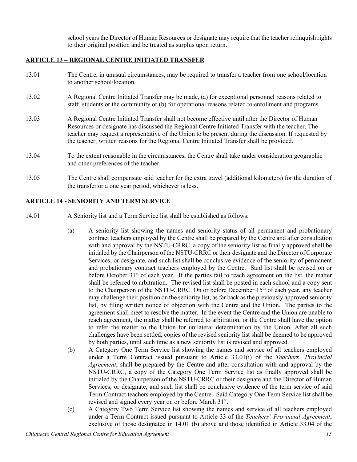school years the Director of Human Resources or designate may require that the teacher relinquish rights to their original position and be treated as surplus upon return.

## **ARTICLE 13 – REGIONAL CENTRE INITIATED TRANSFER**

- 13.01 The Centre, in unusual circumstances, may be required to transfer a teacher from one school/location to another school/location.
- 13.02 A Regional Centre Initiated Transfer may be made, (a) for exceptional personnel reasons related to staff, students or the community or (b) for operational reasons related to enrollment and programs.
- 13.03 A Regional Centre Initiated Transfer shall not become effective until after the Director of Human Resources or designate has discussed the Regional Centre Initiated Transfer with the teacher. The teacher may request a representative of the Union to be present during the discussion. If requested by the teacher, written reasons for the Regional Centre Initiated Transfer shall be provided.
- 13.04 To the extent reasonable in the circumstances, the Centre shall take under consideration geographic and other preferences of the teacher.
- 13.05 The Centre shall compensate said teacher for the extra travel (additional kilometers) for the duration of the transfer or a one year period, whichever is less.

## **ARTICLE 14 - SENIORITY AND TERM SERVICE**

- 14.01 A Seniority list and a Term Service list shall be established as follows:
	- (a) A seniority list showing the names and seniority status of all permanent and probationary contract teachers employed by the Centre shall be prepared by the Centre and after consultation with and approval by the NSTU-CRRC, a copy of the seniority list as finally approved shall be initialed by the Chairperson of the NSTU-CRRC or their designate and the Director of Corporate Services, or designate, and such list shall be conclusive evidence of the seniority of permanent and probationary contract teachers employed by the Centre. Said list shall be revised on or before October  $31<sup>st</sup>$  of each year. If the parties fail to reach agreement on the list, the matter shall be referred to arbitration. The revised list shall be posted in each school and a copy sent to the Chairperson of the NSTU-CRRC. On or before December 15<sup>th</sup> of each year, any teacher may challenge their position on the seniority list, as far back as the previously approved seniority list, by filing written notice of objection with the Centre and the Union. The parties to the agreement shall meet to resolve the matter. In the event the Centre and the Union are unable to reach agreement, the matter shall be referred to arbitration, or the Centre shall have the option to refer the matter to the Union for unilateral determination by the Union. After all such challenges have been settled, copies of the revised seniority list shall be deemed to be approved by both parties, until such time as a new seniority list is revised and approved.
	- (b) A Category One Term Service list showing the names and service of all teachers employed under a Term Contract issued pursuant to Article 33.01(i) of the *Teachers' Provincial Agreement*, shall be prepared by the Centre and after consultation with and approval by the NSTU-CRRC, a copy of the Category One Term Service list as finally approved shall be initialed by the Chairperson of the NSTU-CRRC or their designate and the Director of Human Services, or designate, and such list shall be conclusive evidence of the term service of said Term Contract teachers employed by the Centre. Said Category One Term Service list shall be revised and signed every year on or before March 31st.
	- (c) A Category Two Term Service list showing the names and service of all teachers employed under a Term Contract issued pursuant to Article 33 of the *Teachers' Provincial Agreement*, exclusive of those designated in 14.01 (b) above and those identified in Article 33.04 of the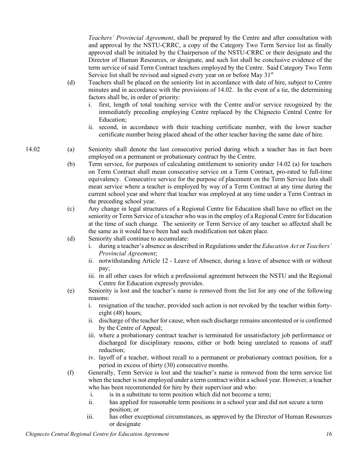*Teachers' Provincial Agreement*, shall be prepared by the Centre and after consultation with and approval by the NSTU-CRRC, a copy of the Category Two Term Service list as finally approved shall be initialed by the Chairperson of the NSTU-CRRC or their designate and the Director of Human Resources, or designate, and such list shall be conclusive evidence of the term service of said Term Contract teachers employed by the Centre. Said Category Two Term Service list shall be revised and signed every year on or before May 31<sup>st</sup>

- (d) Teachers shall be placed on the seniority list in accordance with date of hire, subject to Centre minutes and in accordance with the provisions of 14.02. In the event of a tie, the determining factors shall be, in order of priority:
	- i. first, length of total teaching service with the Centre and/or service recognized by the immediately preceding employing Centre replaced by the Chignecto Central Centre for Education;
	- ii. second, in accordance with their teaching certificate number, with the lower teacher certificate number being placed ahead of the other teacher having the same date of hire.
- 14.02 (a) Seniority shall denote the last consecutive period during which a teacher has in fact been employed on a permanent or probationary contract by the Centre.
	- (b) Term service, for purposes of calculating entitlement to seniority under 14.02 (a) for teachers on Term Contract shall mean consecutive service on a Term Contract, pro-rated to full-time equivalency. Consecutive service for the purpose of placement on the Term Service lists shall mean service where a teacher is employed by way of a Term Contract at any time during the current school year and where that teacher was employed at any time under a Term Contract in the preceding school year.
	- (c) Any change in legal structures of a Regional Centre for Education shall have no effect on the seniority or Term Service of a teacher who was in the employ of a Regional Centre for Education at the time of such change. The seniority or Term Service of any teacher so affected shall be the same as it would have been had such modification not taken place.
	- (d) Seniority shall continue to accumulate:
		- i. during a teacher's absence as described in Regulations under the *Education Act* or *Teachers' Provincial Agreement*;
		- ii. notwithstanding Article 12 Leave of Absence, during a leave of absence with or without pay;
		- iii. in all other cases for which a professional agreement between the NSTU and the Regional Centre for Education expressly provides.
	- (e) Seniority is lost and the teacher's name is removed from the list for any one of the following reasons:
		- i. resignation of the teacher, provided such action is not revoked by the teacher within fortyeight (48) hours;
		- ii. discharge of the teacher for cause, when such discharge remains uncontested or is confirmed by the Centre of Appeal;
		- iii. where a probationary contract teacher is terminated for unsatisfactory job performance or discharged for disciplinary reasons, either or both being unrelated to reasons of staff reduction;
		- iv. layoff of a teacher, without recall to a permanent or probationary contract position, for a period in excess of thirty (30) consecutive months.
	- (f) Generally, Term Service is lost and the teacher's name is removed from the term service list when the teacher is not employed under a term contract within a school year. However, a teacher who has been recommended for hire by their supervisor and who:
		- i. is in a substitute to term position which did not become a term;
		- ii. has applied for reasonable term positions in a school year and did not secure a term position; or
		- iii. has other exceptional circumstances, as approved by the Director of Human Resources or designate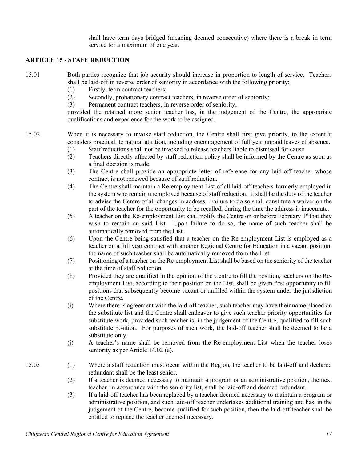shall have term days bridged (meaning deemed consecutive) where there is a break in term service for a maximum of one year.

## **ARTICLE 15 - STAFF REDUCTION**

15.01 Both parties recognize that job security should increase in proportion to length of service. Teachers shall be laid-off in reverse order of seniority in accordance with the following priority:

- (1) Firstly, term contract teachers;
- (2) Secondly, probationary contract teachers, in reverse order of seniority;
- (3) Permanent contract teachers, in reverse order of seniority;

provided the retained more senior teacher has, in the judgement of the Centre, the appropriate qualifications and experience for the work to be assigned.

15.02 When it is necessary to invoke staff reduction, the Centre shall first give priority, to the extent it considers practical, to natural attrition, including encouragement of full year unpaid leaves of absence.

- (1) Staff reductions shall not be invoked to release teachers liable to dismissal for cause.
- (2) Teachers directly affected by staff reduction policy shall be informed by the Centre as soon as a final decision is made.
- (3) The Centre shall provide an appropriate letter of reference for any laid-off teacher whose contract is not renewed because of staff reduction.
- (4) The Centre shall maintain a Re-employment List of all laid-off teachers formerly employed in the system who remain unemployed because of staff reduction. It shall be the duty of the teacher to advise the Centre of all changes in address. Failure to do so shall constitute a waiver on the part of the teacher for the opportunity to be recalled, during the time the address is inaccurate.
- (5) A teacher on the Re-employment List shall notify the Centre on or before February  $1<sup>st</sup>$  that they wish to remain on said List. Upon failure to do so, the name of such teacher shall be automatically removed from the List.
- (6) Upon the Centre being satisfied that a teacher on the Re-employment List is employed as a teacher on a full year contract with another Regional Centre for Education in a vacant position, the name of such teacher shall be automatically removed from the List.
- (7) Positioning of a teacher on the Re-employment List shall be based on the seniority of the teacher at the time of staff reduction.
- (h) Provided they are qualified in the opinion of the Centre to fill the position, teachers on the Reemployment List, according to their position on the List, shall be given first opportunity to fill positions that subsequently become vacant or unfilled within the system under the jurisdiction of the Centre.
- (i) Where there is agreement with the laid-off teacher, such teacher may have their name placed on the substitute list and the Centre shall endeavor to give such teacher priority opportunities for substitute work, provided such teacher is, in the judgement of the Centre, qualified to fill such substitute position. For purposes of such work, the laid-off teacher shall be deemed to be a substitute only.
- (j) A teacher's name shall be removed from the Re-employment List when the teacher loses seniority as per Article 14.02 (e).
- 15.03 (1) Where a staff reduction must occur within the Region, the teacher to be laid-off and declared redundant shall be the least senior.
	- (2) If a teacher is deemed necessary to maintain a program or an administrative position, the next teacher, in accordance with the seniority list, shall be laid-off and deemed redundant.
	- (3) If a laid-off teacher has been replaced by a teacher deemed necessary to maintain a program or administrative position, and such laid-off teacher undertakes additional training and has, in the judgement of the Centre, become qualified for such position, then the laid-off teacher shall be entitled to replace the teacher deemed necessary.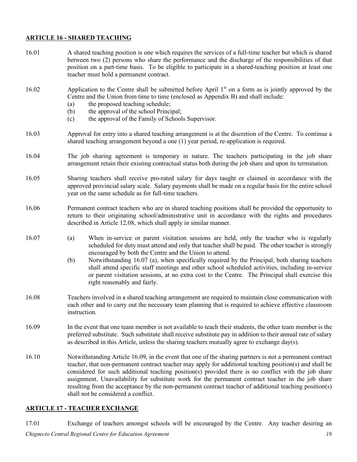#### **ARTICLE 16 - SHARED TEACHING**

16.01 A shared teaching position is one which requires the services of a full-time teacher but which is shared between two (2) persons who share the performance and the discharge of the responsibilities of that position on a part-time basis. To be eligible to participate in a shared-teaching position at least one teacher must hold a permanent contract. 16.02 Application to the Centre shall be submitted before April 1<sup>st</sup> on a form as is jointly approved by the Centre and the Union from time to time (enclosed as Appendix B) and shall include: (a) the proposed teaching schedule; (b) the approval of the school Principal; (c) the approval of the Family of Schools Supervisor. 16.03 Approval for entry into a shared teaching arrangement is at the discretion of the Centre. To continue a shared teaching arrangement beyond a one (1) year period, re-application is required. 16.04 The job sharing agreement is temporary in nature. The teachers participating in the job share arrangement retain their existing contractual status both during the job share and upon its termination. 16.05 Sharing teachers shall receive pro-rated salary for days taught or claimed in accordance with the approved provincial salary scale. Salary payments shall be made on a regular basis for the entire school year on the same schedule as for full-time teachers. 16.06 Permanent contract teachers who are in shared teaching positions shall be provided the opportunity to return to their originating school/administrative unit in accordance with the rights and procedures described in Article 12.08, which shall apply in similar manner. 16.07 (a) When in-service or parent visitation sessions are held, only the teacher who is regularly scheduled for duty must attend and only that teacher shall be paid. The other teacher is strongly encouraged by both the Centre and the Union to attend. (b) Notwithstanding 16.07 (a), when specifically required by the Principal, both sharing teachers shall attend specific staff meetings and other school scheduled activities, including in-service or parent visitation sessions, at no extra cost to the Centre. The Principal shall exercise this right reasonably and fairly. 16.08 Teachers involved in a shared teaching arrangement are required to maintain close communication with each other and to carry out the necessary team planning that is required to achieve effective classroom instruction. 16.09 In the event that one team member is not available to teach their students, the other team member is the preferred substitute. Such substitute shall receive substitute pay in addition to their annual rate of salary as described in this Article, unless the sharing teachers mutually agree to exchange day(s). 16.10 Notwithstanding Article 16.09, in the event that one of the sharing partners is not a permanent contract teacher, that non-permanent contract teacher may apply for additional teaching position(s) and shall be considered for such additional teaching position(s) provided there is no conflict with the job share assignment. Unavailability for substitute work for the permanent contract teacher in the job share resulting from the acceptance by the non-permanent contract teacher of additional teaching position(s) shall not be considered a conflict.

# **ARTICLE 17 - TEACHER EXCHANGE**

*Chignecto Central Regional Centre for Education Agreement 18* 17.01 Exchange of teachers amongst schools will be encouraged by the Centre. Any teacher desiring an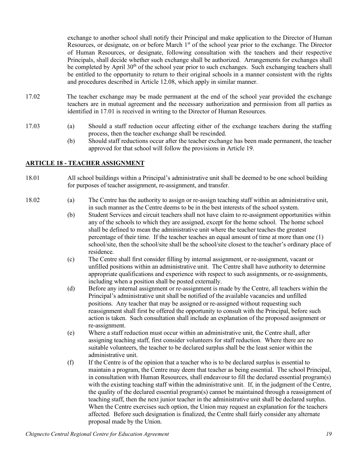exchange to another school shall notify their Principal and make application to the Director of Human Resources, or designate, on or before March 1<sup>st</sup> of the school year prior to the exchange. The Director of Human Resources, or designate, following consultation with the teachers and their respective Principals, shall decide whether such exchange shall be authorized. Arrangements for exchanges shall be completed by April 30<sup>th</sup> of the school year prior to such exchanges. Such exchanging teachers shall be entitled to the opportunity to return to their original schools in a manner consistent with the rights and procedures described in Article 12.08, which apply in similar manner.

- 17.02 The teacher exchange may be made permanent at the end of the school year provided the exchange teachers are in mutual agreement and the necessary authorization and permission from all parties as identified in 17.01 is received in writing to the Director of Human Resources.
- 17.03 (a) Should a staff reduction occur affecting either of the exchange teachers during the staffing process, then the teacher exchange shall be rescinded.
	- (b) Should staff reductions occur after the teacher exchange has been made permanent, the teacher approved for that school will follow the provisions in Article 19.

## **ARTICLE 18 - TEACHER ASSIGNMENT**

- 18.01 All school buildings within a Principal's administrative unit shall be deemed to be one school building for purposes of teacher assignment, re-assignment, and transfer.
- 18.02 (a) The Centre has the authority to assign or re-assign teaching staff within an administrative unit, in such manner as the Centre deems to be in the best interests of the school system.
	- (b) Student Services and circuit teachers shall not have claim to re-assignment opportunities within any of the schools to which they are assigned, except for the home school. The home school shall be defined to mean the administrative unit where the teacher teaches the greatest percentage of their time. If the teacher teaches an equal amount of time at more than one (1) school/site, then the school/site shall be the school/site closest to the teacher's ordinary place of residence.
	- (c) The Centre shall first consider filling by internal assignment, or re-assignment, vacant or unfilled positions within an administrative unit. The Centre shall have authority to determine appropriate qualifications and experience with respect to such assignments, or re-assignments, including when a position shall be posted externally.
	- (d) Before any internal assignment or re-assignment is made by the Centre, all teachers within the Principal's administrative unit shall be notified of the available vacancies and unfilled positions. Any teacher that may be assigned or re-assigned without requesting such reassignment shall first be offered the opportunity to consult with the Principal, before such action is taken. Such consultation shall include an explanation of the proposed assignment or re-assignment.
	- (e) Where a staff reduction must occur within an administrative unit, the Centre shall, after assigning teaching staff, first consider volunteers for staff reduction. Where there are no suitable volunteers, the teacher to be declared surplus shall be the least senior within the administrative unit.
	- (f) If the Centre is of the opinion that a teacher who is to be declared surplus is essential to maintain a program, the Centre may deem that teacher as being essential. The school Principal, in consultation with Human Resources, shall endeavour to fill the declared essential program(s) with the existing teaching staff within the administrative unit. If, in the judgment of the Centre, the quality of the declared essential program(s) cannot be maintained through a reassignment of teaching staff, then the next junior teacher in the administrative unit shall be declared surplus. When the Centre exercises such option, the Union may request an explanation for the teachers affected. Before such designation is finalized, the Centre shall fairly consider any alternate proposal made by the Union.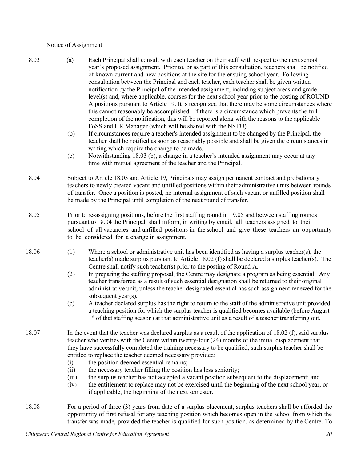#### Notice of Assignment

- 18.03 (a) Each Principal shall consult with each teacher on their staff with respect to the next school year's proposed assignment. Prior to, or as part of this consultation, teachers shall be notified of known current and new positions at the site for the ensuing school year. Following consultation between the Principal and each teacher, each teacher shall be given written notification by the Principal of the intended assignment, including subject areas and grade level(s) and, where applicable, courses for the next school year prior to the posting of ROUND A positions pursuant to Article 19. It is recognized that there may be some circumstances where this cannot reasonably be accomplished. If there is a circumstance which prevents the full completion of the notification, this will be reported along with the reasons to the applicable FoSS and HR Manager (which will be shared with the NSTU).
	- (b) If circumstances require a teacher's intended assignment to be changed by the Principal, the teacher shall be notified as soon as reasonably possible and shall be given the circumstances in writing which require the change to be made.
	- (c) Notwithstanding 18.03 (b), a change in a teacher's intended assignment may occur at any time with mutual agreement of the teacher and the Principal.
- 18.04 Subject to Article 18.03 and Article 19, Principals may assign permanent contract and probationary teachers to newly created vacant and unfilled positions within their administrative units between rounds of transfer. Once a position is posted, no internal assignment of such vacant or unfilled position shall be made by the Principal until completion of the next round of transfer.
- 18.05 Prior to re-assigning positions, before the first staffing round in 19.05 and between staffing rounds pursuant to 18.04 the Principal shall inform, in writing by email, all teachers assigned to their school of all vacancies and unfilled positions in the school and give these teachers an opportunity to be considered for a change in assignment.
- 18.06 (1) Where a school or administrative unit has been identified as having a surplus teacher(s), the teacher(s) made surplus pursuant to Article 18.02 (f) shall be declared a surplus teacher(s). The Centre shall notify such teacher(s) prior to the posting of Round A.
	- (2) In preparing the staffing proposal, the Centre may designate a program as being essential. Any teacher transferred as a result of such essential designation shall be returned to their original administrative unit, unless the teacher designated essential has such assignment renewed for the subsequent year(s).
	- (c) A teacher declared surplus has the right to return to the staff of the administrative unit provided a teaching position for which the surplus teacher is qualified becomes available (before August 1<sup>st</sup> of that staffing season) at that administrative unit as a result of a teacher transferring out.
- 18.07 In the event that the teacher was declared surplus as a result of the application of 18.02 (f), said surplus teacher who verifies with the Centre within twenty-four (24) months of the initial displacement that they have successfully completed the training necessary to be qualified, such surplus teacher shall be entitled to replace the teacher deemed necessary provided:
	- (i) the position deemed essential remains;
	- (ii) the necessary teacher filling the position has less seniority;
	- (iii) the surplus teacher has not accepted a vacant position subsequent to the displacement; and
	- (iv) the entitlement to replace may not be exercised until the beginning of the next school year, or if applicable, the beginning of the next semester.
- 18.08 For a period of three (3) years from date of a surplus placement, surplus teachers shall be afforded the opportunity of first refusal for any teaching position which becomes open in the school from which the transfer was made, provided the teacher is qualified for such position, as determined by the Centre. To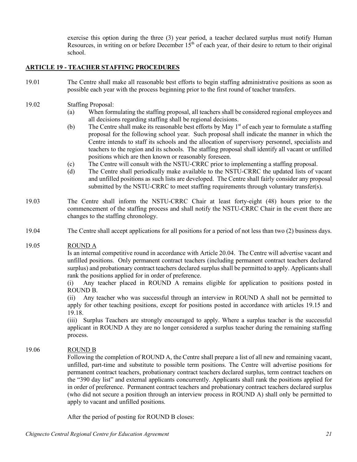exercise this option during the three (3) year period, a teacher declared surplus must notify Human Resources, in writing on or before December  $15<sup>th</sup>$  of each year, of their desire to return to their original school.

## **ARTICLE 19 - TEACHER STAFFING PROCEDURES**

- 19.01 The Centre shall make all reasonable best efforts to begin staffing administrative positions as soon as possible each year with the process beginning prior to the first round of teacher transfers.
- 19.02 Staffing Proposal:
	- (a) When formulating the staffing proposal, all teachers shall be considered regional employees and all decisions regarding staffing shall be regional decisions.
	- (b) The Centre shall make its reasonable best efforts by May 1<sup>st</sup> of each year to formulate a staffing proposal for the following school year. Such proposal shall indicate the manner in which the Centre intends to staff its schools and the allocation of supervisory personnel, specialists and teachers to the region and its schools. The staffing proposal shall identify all vacant or unfilled positions which are then known or reasonably foreseen.
	- (c) The Centre will consult with the NSTU-CRRC prior to implementing a staffing proposal.
	- (d) The Centre shall periodically make available to the NSTU-CRRC the updated lists of vacant and unfilled positions as such lists are developed. The Centre shall fairly consider any proposal submitted by the NSTU-CRRC to meet staffing requirements through voluntary transfer(s).
- 19.03 The Centre shall inform the NSTU-CRRC Chair at least forty-eight (48) hours prior to the commencement of the staffing process and shall notify the NSTU-CRRC Chair in the event there are changes to the staffing chronology.
- 19.04 The Centre shall accept applications for all positions for a period of not less than two (2) business days.

#### 19.05 ROUND A

Is an internal competitive round in accordance with Article 20.04. The Centre will advertise vacant and unfilled positions. Only permanent contract teachers (including permanent contract teachers declared surplus) and probationary contract teachers declared surplus shall be permitted to apply. Applicants shall rank the positions applied for in order of preference.

(i) Any teacher placed in ROUND A remains eligible for application to positions posted in ROUND B.

(ii) Any teacher who was successful through an interview in ROUND A shall not be permitted to apply for other teaching positions, except for positions posted in accordance with articles 19.15 and 19.18.

(iii) Surplus Teachers are strongly encouraged to apply. Where a surplus teacher is the successful applicant in ROUND A they are no longer considered a surplus teacher during the remaining staffing process.

## 19.06 ROUND B

Following the completion of ROUND A, the Centre shall prepare a list of all new and remaining vacant, unfilled, part-time and substitute to possible term positions. The Centre will advertise positions for permanent contract teachers, probationary contract teachers declared surplus, term contract teachers on the "390 day list" and external applicants concurrently. Applicants shall rank the positions applied for in order of preference. Permanent contract teachers and probationary contract teachers declared surplus (who did not secure a position through an interview process in ROUND A) shall only be permitted to apply to vacant and unfilled positions.

After the period of posting for ROUND B closes: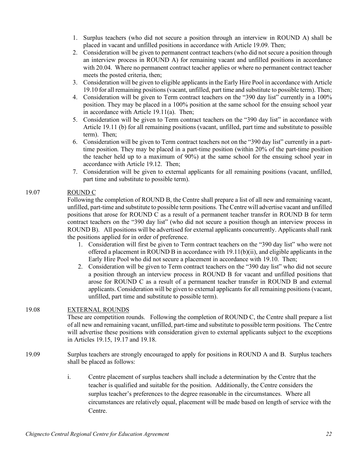- 1. Surplus teachers (who did not secure a position through an interview in ROUND A) shall be placed in vacant and unfilled positions in accordance with Article 19.09. Then;
- 2. Consideration will be given to permanent contract teachers (who did not secure a position through an interview process in ROUND A) for remaining vacant and unfilled positions in accordance with 20.04. Where no permanent contract teacher applies or where no permanent contract teacher meets the posted criteria, then;
- 3. Consideration will be given to eligible applicants in the Early Hire Pool in accordance with Article 19.10 for all remaining positions (vacant, unfilled, part time and substitute to possible term). Then;
- 4. Consideration will be given to Term contract teachers on the "390 day list" currently in a 100% position. They may be placed in a 100% position at the same school for the ensuing school year in accordance with Article 19.11(a). Then;
- 5. Consideration will be given to Term contract teachers on the "390 day list" in accordance with Article 19.11 (b) for all remaining positions (vacant, unfilled, part time and substitute to possible term). Then;
- 6. Consideration will be given to Term contract teachers not on the "390 day list" currently in a parttime position. They may be placed in a part-time position (within 20% of the part-time position the teacher held up to a maximum of 90%) at the same school for the ensuing school year in accordance with Article 19.12. Then;
- 7. Consideration will be given to external applicants for all remaining positions (vacant, unfilled, part time and substitute to possible term).

## 19.07 ROUND C

Following the completion of ROUND B, the Centre shall prepare a list of all new and remaining vacant, unfilled, part-time and substitute to possible term positions. The Centre will advertise vacant and unfilled positions that arose for ROUND C as a result of a permanent teacher transfer in ROUND B for term contract teachers on the "390 day list" (who did not secure a position though an interview process in ROUND B). All positions will be advertised for external applicants concurrently. Applicants shall rank the positions applied for in order of preference.

- 1. Consideration will first be given to Term contract teachers on the "390 day list" who were not offered a placement in ROUND B in accordance with 19.11(b)(ii), and eligible applicants in the Early Hire Pool who did not secure a placement in accordance with 19.10. Then;
- 2. Consideration will be given to Term contract teachers on the "390 day list" who did not secure a position through an interview process in ROUND B for vacant and unfilled positions that arose for ROUND C as a result of a permanent teacher transfer in ROUND B and external applicants. Consideration will be given to external applicants for all remaining positions (vacant, unfilled, part time and substitute to possible term).

## 19.08 EXTERNAL ROUNDS

These are competition rounds. Following the completion of ROUND C, the Centre shall prepare a list of all new and remaining vacant, unfilled, part-time and substitute to possible term positions. The Centre will advertise these positions with consideration given to external applicants subject to the exceptions in Articles 19.15, 19.17 and 19.18.

- 19.09 Surplus teachers are strongly encouraged to apply for positions in ROUND A and B. Surplus teachers shall be placed as follows:
	- i. Centre placement of surplus teachers shall include a determination by the Centre that the teacher is qualified and suitable for the position. Additionally, the Centre considers the surplus teacher's preferences to the degree reasonable in the circumstances. Where all circumstances are relatively equal, placement will be made based on length of service with the Centre.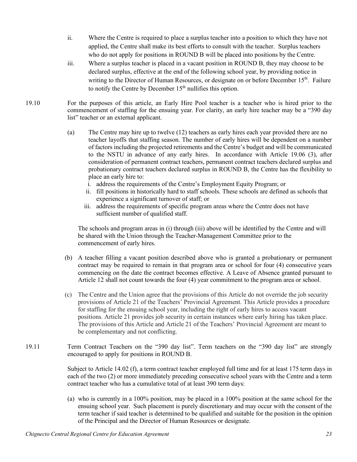- ii. Where the Centre is required to place a surplus teacher into a position to which they have not applied, the Centre shall make its best efforts to consult with the teacher. Surplus teachers who do not apply for positions in ROUND B will be placed into positions by the Centre.
- iii. Where a surplus teacher is placed in a vacant position in ROUND B, they may choose to be declared surplus, effective at the end of the following school year, by providing notice in writing to the Director of Human Resources, or designate on or before December 15<sup>th</sup>. Failure to notify the Centre by December  $15<sup>th</sup>$  nullifies this option.
- 19.10 For the purposes of this article, an Early Hire Pool teacher is a teacher who is hired prior to the commencement of staffing for the ensuing year. For clarity, an early hire teacher may be a "390 day list" teacher or an external applicant.
	- (a) The Centre may hire up to twelve (12) teachers as early hires each year provided there are no teacher layoffs that staffing season. The number of early hires will be dependent on a number of factors including the projected retirements and the Centre's budget and will be communicated to the NSTU in advance of any early hires. In accordance with Article 19.06 (3), after consideration of permanent contract teachers, permanent contract teachers declared surplus and probationary contract teachers declared surplus in ROUND B, the Centre has the flexibility to place an early hire to:
		- i. address the requirements of the Centre's Employment Equity Program; or
		- ii. fill positions in historically hard to staff schools. These schools are defined as schools that experience a significant turnover of staff; or
		- iii. address the requirements of specific program areas where the Centre does not have sufficient number of qualified staff.

The schools and program areas in (i) through (iii) above will be identified by the Centre and will be shared with the Union through the Teacher-Management Committee prior to the commencement of early hires.

- (b) A teacher filling a vacant position described above who is granted a probationary or permanent contract may be required to remain in that program area or school for four (4) consecutive years commencing on the date the contract becomes effective. A Leave of Absence granted pursuant to Article 12 shall not count towards the four (4) year commitment to the program area or school.
- (c) The Centre and the Union agree that the provisions of this Article do not override the job security provisions of Article 21 of the Teachers' Provincial Agreement. This Article provides a procedure for staffing for the ensuing school year, including the right of early hires to access vacant positions. Article 21 provides job security in certain instances where early hiring has taken place. The provisions of this Article and Article 21 of the Teachers' Provincial Agreement are meant to be complementary and not conflicting.
- 19.11 Term Contract Teachers on the "390 day list". Term teachers on the "390 day list" are strongly encouraged to apply for positions in ROUND B.

Subject to Article 14.02 (f), a term contract teacher employed full time and for at least 175 term days in each of the two (2) or more immediately preceding consecutive school years with the Centre and a term contract teacher who has a cumulative total of at least 390 term days:

(a) who is currently in a 100% position, may be placed in a 100% position at the same school for the ensuing school year. Such placement is purely discretionary and may occur with the consent of the term teacher if said teacher is determined to be qualified and suitable for the position in the opinion of the Principal and the Director of Human Resources or designate.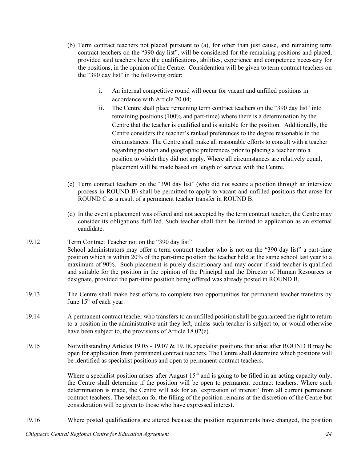- (b) Term contract teachers not placed pursuant to (a), for other than just cause, and remaining term contract teachers on the "390 day list", will be considered for the remaining positions and placed, provided said teachers have the qualifications, abilities, experience and competence necessary for the positions, in the opinion of the Centre. Consideration will be given to term contract teachers on the "390 day list" in the following order:
	- i. An internal competitive round will occur for vacant and unfilled positions in accordance with Article 20.04;
	- ii. The Centre shall place remaining term contract teachers on the "390 day list" into remaining positions (100% and part-time) where there is a determination by the Centre that the teacher is qualified and is suitable for the position. Additionally, the Centre considers the teacher's ranked preferences to the degree reasonable in the circumstances. The Centre shall make all reasonable efforts to consult with a teacher regarding position and geographic preferences prior to placing a teacher into a position to which they did not apply. Where all circumstances are relatively equal, placement will be made based on length of service with the Centre.
- (c) Term contract teachers on the "390 day list" (who did not secure a position through an interview process in ROUND B) shall be permitted to apply to vacant and unfilled positions that arose for ROUND C as a result of a permanent teacher transfer in ROUND B.
- (d) In the event a placement was offered and not accepted by the term contract teacher, the Centre may consider its obligations fulfilled. Such teacher shall then be limited to application as an external candidate.
- 19.12 Term Contract Teacher not on the "390 day list" School administrators may offer a term contract teacher who is not on the "390 day list" a part-time position which is within 20% of the part-time position the teacher held at the same school last year to a maximum of 90%. Such placement is purely discretionary and may occur if said teacher is qualified and suitable for the position in the opinion of the Principal and the Director of Human Resources or designate, provided the part-time position being offered was already posted in ROUND B.
- 19.13 The Centre shall make best efforts to complete two opportunities for permanent teacher transfers by June  $15<sup>th</sup>$  of each year.
- 19.14 A permanent contract teacher who transfers to an unfilled position shall be guaranteed the right to return to a position in the administrative unit they left, unless such teacher is subject to, or would otherwise have been subject to, the provisions of Article 18.02(e).
- 19.15 Notwithstanding Articles 19.05 19.07 & 19.18, specialist positions that arise after ROUND B may be open for application from permanent contract teachers. The Centre shall determine which positions will be identified as specialist positions and open to permanent contract teachers.

Where a specialist position arises after August  $15<sup>th</sup>$  and is going to be filled in an acting capacity only, the Centre shall determine if the position will be open to permanent contract teachers. Where such determination is made, the Centre will ask for an 'expression of interest' from all current permanent contract teachers. The selection for the filling of the position remains at the discretion of the Centre but consideration will be given to those who have expressed interest.

19.16 Where posted qualifications are altered because the position requirements have changed, the position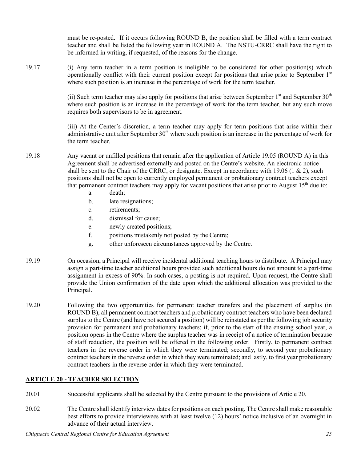must be re-posted. If it occurs following ROUND B, the position shall be filled with a term contract teacher and shall be listed the following year in ROUND A. The NSTU-CRRC shall have the right to be informed in writing, if requested, of the reasons for the change.

19.17 (i) Any term teacher in a term position is ineligible to be considered for other position(s) which operationally conflict with their current position except for positions that arise prior to September  $1<sup>st</sup>$ where such position is an increase in the percentage of work for the term teacher.

> (ii) Such term teacher may also apply for positions that arise between September  $1<sup>st</sup>$  and September  $30<sup>th</sup>$ where such position is an increase in the percentage of work for the term teacher, but any such move requires both supervisors to be in agreement.

> (iii) At the Center's discretion, a term teacher may apply for term positions that arise within their administrative unit after September  $30<sup>th</sup>$  where such position is an increase in the percentage of work for the term teacher.

- 19.18 Any vacant or unfilled positions that remain after the application of Article 19.05 (ROUND A) in this Agreement shall be advertised externally and posted on the Centre's website. An electronic notice shall be sent to the Chair of the CRRC, or designate. Except in accordance with 19.06 (1  $\&$  2), such positions shall not be open to currently employed permanent or probationary contract teachers except that permanent contract teachers may apply for vacant positions that arise prior to August 15th due to:
	- a. death;
	- b. late resignations;
	- c. retirements;
	- d. dismissal for cause;
	- e. newly created positions;
	- f. positions mistakenly not posted by the Centre;
	- g. other unforeseen circumstances approved by the Centre.
- 19.19 On occasion, a Principal will receive incidental additional teaching hours to distribute. A Principal may assign a part-time teacher additional hours provided such additional hours do not amount to a part-time assignment in excess of 90%. In such cases, a posting is not required. Upon request, the Centre shall provide the Union confirmation of the date upon which the additional allocation was provided to the Principal.
- 19.20 Following the two opportunities for permanent teacher transfers and the placement of surplus (in ROUND B), all permanent contract teachers and probationary contract teachers who have been declared surplus to the Centre (and have not secured a position) will be reinstated as per the following job security provision for permanent and probationary teachers: if, prior to the start of the ensuing school year, a position opens in the Centre where the surplus teacher was in receipt of a notice of termination because of staff reduction, the position will be offered in the following order. Firstly, to permanent contract teachers in the reverse order in which they were terminated; secondly, to second year probationary contract teachers in the reverse order in which they were terminated; and lastly, to first year probationary contract teachers in the reverse order in which they were terminated.

## **ARTICLE 20 - TEACHER SELECTION**

- 20.01 Successful applicants shall be selected by the Centre pursuant to the provisions of Article 20.
- 20.02 The Centre shall identify interview dates for positions on each posting. The Centre shall make reasonable best efforts to provide interviewees with at least twelve (12) hours' notice inclusive of an overnight in advance of their actual interview.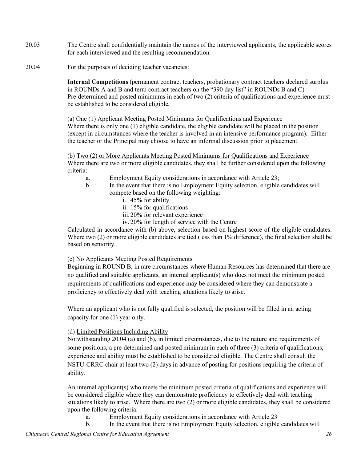- 20.03 The Centre shall confidentially maintain the names of the interviewed applicants, the applicable scores for each interviewed and the resulting recommendation.
- 20.04 For the purposes of deciding teacher vacancies:

**Internal Competitions** (permanent contract teachers, probationary contract teachers declared surplus in ROUNDs A and B and term contract teachers on the "390 day list" in ROUNDs B and C). Pre-determined and posted minimums in each of two (2) criteria of qualifications and experience must be established to be considered eligible.

(a) One (1) Applicant Meeting Posted Minimums for Qualifications and Experience Where there is only one (1) eligible candidate, the eligible candidate will be placed in the position (except in circumstances where the teacher is involved in an intensive performance program). Either the teacher or the Principal may choose to have an informal discussion prior to placement.

(b) Two (2) or More Applicants Meeting Posted Minimums for Qualifications and Experience Where there are two or more eligible candidates, they shall be further considered upon the following criteria:

- a. Employment Equity considerations in accordance with Article 23;
- b. In the event that there is no Employment Equity selection, eligible candidates will compete based on the following weighting:
	- i. 45% for ability
	- ii. 15% for qualifications
	- iii.20% for relevant experience
	- iv. 20% for length of service with the Centre

Calculated in accordance with (b) above, selection based on highest score of the eligible candidates. Where two (2) or more eligible candidates are tied (less than 1% difference), the final selection shall be based on seniority.

#### (c) No Applicants Meeting Posted Requirements

Beginning in ROUND B, in rare circumstances where Human Resources has determined that there are no qualified and suitable applicants, an internal applicant(s) who does not meet the minimum posted requirements of qualifications and experience may be considered where they can demonstrate a proficiency to effectively deal with teaching situations likely to arise.

Where an applicant who is not fully qualified is selected, the position will be filled in an acting capacity for one (1) year only.

## (d) Limited Positions Including Ability

Notwithstanding 20.04 (a) and (b), in limited circumstances, due to the nature and requirements of some positions, a pre-determined and posted minimum in each of three (3) criteria of qualifications, experience and ability must be established to be considered eligible. The Centre shall consult the NSTU-CRRC chair at least two (2) days in advance of posting for positions requiring the criteria of ability.

An internal applicant(s) who meets the minimum posted criteria of qualifications and experience will be considered eligible where they can demonstrate proficiency to effectively deal with teaching situations likely to arise. Where there are two (2) or more eligible candidates, they shall be considered upon the following criteria:

- a. Employment Equity considerations in accordance with Article 23
- b. In the event that there is no Employment Equity selection, eligible candidates will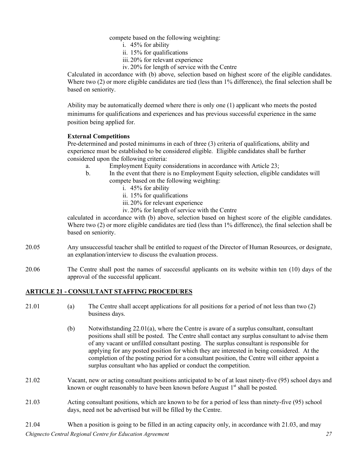compete based on the following weighting:

- i. 45% for ability
- ii. 15% for qualifications
- iii.20% for relevant experience
- iv. 20% for length of service with the Centre

Calculated in accordance with (b) above, selection based on highest score of the eligible candidates. Where two (2) or more eligible candidates are tied (less than 1% difference), the final selection shall be based on seniority.

Ability may be automatically deemed where there is only one (1) applicant who meets the posted minimums for qualifications and experiences and has previous successful experience in the same position being applied for.

## **External Competitions**

Pre-determined and posted minimums in each of three (3) criteria of qualifications, ability and experience must be established to be considered eligible. Eligible candidates shall be further considered upon the following criteria:

- a. Employment Equity considerations in accordance with Article 23;
- b. In the event that there is no Employment Equity selection, eligible candidates will compete based on the following weighting:
	- i. 45% for ability
	- ii. 15% for qualifications
	- iii.20% for relevant experience
	- iv. 20% for length of service with the Centre

calculated in accordance with (b) above, selection based on highest score of the eligible candidates. Where two (2) or more eligible candidates are tied (less than 1% difference), the final selection shall be based on seniority.

- 20.05 Any unsuccessful teacher shall be entitled to request of the Director of Human Resources, or designate, an explanation/interview to discuss the evaluation process.
- 20.06 The Centre shall post the names of successful applicants on its website within ten (10) days of the approval of the successful applicant.

## **ARTICLE 21 - CONSULTANT STAFFING PROCEDURES**

- 21.01 (a) The Centre shall accept applications for all positions for a period of not less than two (2) business days.
	- (b) Notwithstanding 22.01(a), where the Centre is aware of a surplus consultant, consultant positions shall still be posted. The Centre shall contact any surplus consultant to advise them of any vacant or unfilled consultant posting. The surplus consultant is responsible for applying for any posted position for which they are interested in being considered. At the completion of the posting period for a consultant position, the Centre will either appoint a surplus consultant who has applied or conduct the competition.
- 21.02 Vacant, new or acting consultant positions anticipated to be of at least ninety-five (95) school days and known or ought reasonably to have been known before August  $1<sup>st</sup>$  shall be posted.
- 21.03 Acting consultant positions, which are known to be for a period of less than ninety-five (95) school days, need not be advertised but will be filled by the Centre.
- *Chignecto Central Regional Centre for Education Agreement 27* 21.04 When a position is going to be filled in an acting capacity only, in accordance with 21.03, and may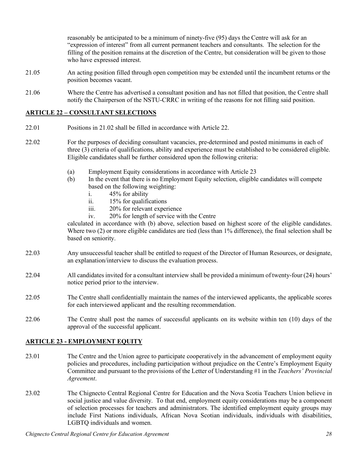reasonably be anticipated to be a minimum of ninety-five (95) days the Centre will ask for an "expression of interest" from all current permanent teachers and consultants. The selection for the filling of the position remains at the discretion of the Centre, but consideration will be given to those who have expressed interest.

- 21.05 An acting position filled through open competition may be extended until the incumbent returns or the position becomes vacant.
- 21.06 Where the Centre has advertised a consultant position and has not filled that position, the Centre shall notify the Chairperson of the NSTU-CRRC in writing of the reasons for not filling said position.

## **ARTICLE 22 – CONSULTANT SELECTIONS**

- 22.01 Positions in 21.02 shall be filled in accordance with Article 22.
- 22.02 For the purposes of deciding consultant vacancies, pre-determined and posted minimums in each of three (3) criteria of qualifications, ability and experience must be established to be considered eligible. Eligible candidates shall be further considered upon the following criteria:
	- (a) Employment Equity considerations in accordance with Article 23
	- (b) In the event that there is no Employment Equity selection, eligible candidates will compete based on the following weighting:
		- i. 45% for ability
		- ii. 15% for qualifications
		- iii. 20% for relevant experience
		- iv. 20% for length of service with the Centre

calculated in accordance with (b) above, selection based on highest score of the eligible candidates. Where two (2) or more eligible candidates are tied (less than 1% difference), the final selection shall be based on seniority.

- 22.03 Any unsuccessful teacher shall be entitled to request of the Director of Human Resources, or designate, an explanation/interview to discuss the evaluation process.
- 22.04 All candidates invited for a consultant interview shall be provided a minimum of twenty-four (24) hours' notice period prior to the interview.
- 22.05 The Centre shall confidentially maintain the names of the interviewed applicants, the applicable scores for each interviewed applicant and the resulting recommendation.
- 22.06 The Centre shall post the names of successful applicants on its website within ten (10) days of the approval of the successful applicant.

## **ARTICLE 23 - EMPLOYMENT EQUITY**

- 23.01 The Centre and the Union agree to participate cooperatively in the advancement of employment equity policies and procedures, including participation without prejudice on the Centre's Employment Equity Committee and pursuant to the provisions of the Letter of Understanding #1 in the *Teachers' Provincial Agreement*.
- 23.02 The Chignecto Central Regional Centre for Education and the Nova Scotia Teachers Union believe in social justice and value diversity. To that end, employment equity considerations may be a component of selection processes for teachers and administrators. The identified employment equity groups may include First Nations individuals, African Nova Scotian individuals, individuals with disabilities, LGBTQ individuals and women.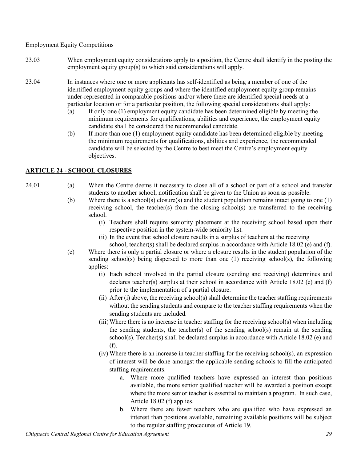Employment Equity Competitions

- 23.03 When employment equity considerations apply to a position, the Centre shall identify in the posting the employment equity group(s) to which said considerations will apply.
- 23.04 In instances where one or more applicants has self-identified as being a member of one of the identified employment equity groups and where the identified employment equity group remains under-represented in comparable positions and/or where there are identified special needs at a particular location or for a particular position, the following special considerations shall apply:
	- (a) If only one (1) employment equity candidate has been determined eligible by meeting the minimum requirements for qualifications, abilities and experience, the employment equity candidate shall be considered the recommended candidate.
	- (b) If more than one (1) employment equity candidate has been determined eligible by meeting the minimum requirements for qualifications, abilities and experience, the recommended candidate will be selected by the Centre to best meet the Centre's employment equity objectives.

# **ARTICLE 24 - SCHOOL CLOSURES**

- 24.01 (a) When the Centre deems it necessary to close all of a school or part of a school and transfer students to another school, notification shall be given to the Union as soon as possible.
	- (b) Where there is a school(s) closure(s) and the student population remains intact going to one (1) receiving school, the teacher(s) from the closing school(s) are transferred to the receiving school.
		- (i) Teachers shall require seniority placement at the receiving school based upon their respective position in the system-wide seniority list.
		- (ii) In the event that school closure results in a surplus of teachers at the receiving school, teacher(s) shall be declared surplus in accordance with Article 18.02 (e) and (f).
	- (c) Where there is only a partial closure or where a closure results in the student population of the sending school(s) being dispersed to more than one (1) receiving school(s), the following applies:
		- (i) Each school involved in the partial closure (sending and receiving) determines and declares teacher(s) surplus at their school in accordance with Article 18.02 (e) and (f) prior to the implementation of a partial closure.
		- (ii) After (i) above, the receiving school(s) shall determine the teacher staffing requirements without the sending students and compare to the teacher staffing requirements when the sending students are included.
		- (iii)Where there is no increase in teacher staffing for the receiving school(s) when including the sending students, the teacher(s) of the sending school(s) remain at the sending school(s). Teacher(s) shall be declared surplus in accordance with Article 18.02 (e) and (f).
		- (iv) Where there is an increase in teacher staffing for the receiving school(s), an expression of interest will be done amongst the applicable sending schools to fill the anticipated staffing requirements.
			- a. Where more qualified teachers have expressed an interest than positions available, the more senior qualified teacher will be awarded a position except where the more senior teacher is essential to maintain a program. In such case, Article 18.02 (f) applies.
			- b. Where there are fewer teachers who are qualified who have expressed an interest than positions available, remaining available positions will be subject to the regular staffing procedures of Article 19.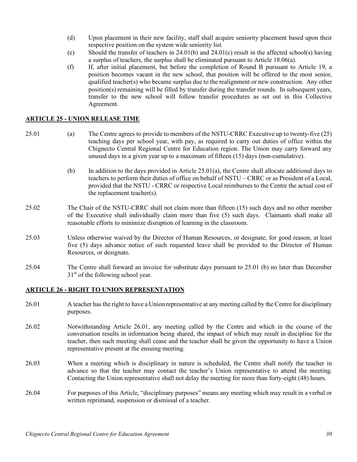- (d) Upon placement in their new facility, staff shall acquire seniority placement based upon their respective position on the system wide seniority list*.*
- (e) Should the transfer of teachers in 24.01(b) and 24.01(c) result in the affected school(s) having a surplus of teachers, the surplus shall be eliminated pursuant to Article 18.06(a).
- (f) If, after initial placement, but before the completion of Round B pursuant to Article 19, a position becomes vacant in the new school, that position will be offered to the most senior, qualified teacher(s) who became surplus due to the realignment or new construction. Any other position(s) remaining will be filled by transfer during the transfer rounds. In subsequent years, transfer to the new school will follow transfer procedures as set out in this Collective Agreement.

#### **ARTICLE 25 - UNION RELEASE TIME**

- 25.01 (a) The Centre agrees to provide to members of the NSTU-CRRC Executive up to twenty-five (25) teaching days per school year, with pay, as required to carry out duties of office within the Chignecto Central Regional Centre for Education region. The Union may carry forward any unused days in a given year up to a maximum of fifteen (15) days (non-cumulative).
	- (b) In addition to the days provided in Article 25.01(a), the Centre shall allocate additional days to teachers to perform their duties of office on behalf of NSTU – CRRC or as President of a Local, provided that the NSTU - CRRC or respective Local reimburses to the Centre the actual cost of the replacement teacher(s).
- 25.02 The Chair of the NSTU-CRRC shall not claim more than fifteen (15) such days and no other member of the Executive shall individually claim more than five (5) such days. Claimants shall make all reasonable efforts to minimize disruption of learning in the classroom.
- 25.03 Unless otherwise waived by the Director of Human Resources, or designate, for good reason, at least five (5) days advance notice of such requested leave shall be provided to the Director of Human Resources, or designate.
- 25.04 The Centre shall forward an invoice for substitute days pursuant to 25.01 (b) no later than December  $31<sup>st</sup>$  of the following school year.

#### **ARTICLE 26 - RIGHT TO UNION REPRESENTATION**

- 26.01 A teacher has the right to have a Union representative at any meeting called by the Centre for disciplinary purposes.
- 26.02 Notwithstanding Article 26.01, any meeting called by the Centre and which in the course of the conversation results in information being shared, the impact of which may result in discipline for the teacher, then such meeting shall cease and the teacher shall be given the opportunity to have a Union representative present at the ensuing meeting.
- 26.03 When a meeting which is disciplinary in nature is scheduled, the Centre shall notify the teacher in advance so that the teacher may contact the teacher's Union representative to attend the meeting. Contacting the Union representative shall not delay the meeting for more than forty-eight (48) hours.
- 26.04 For purposes of this Article, "disciplinary purposes" means any meeting which may result in a verbal or written reprimand, suspension or dismissal of a teacher.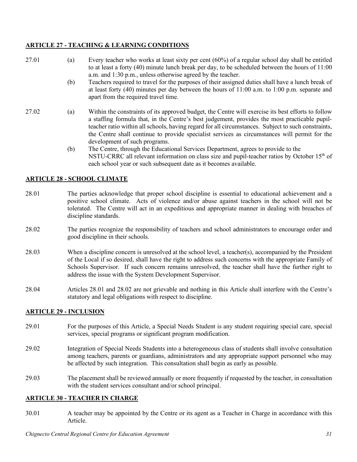# **ARTICLE 27 - TEACHING & LEARNING CONDITIONS**

- 27.01 (a) Every teacher who works at least sixty per cent (60%) of a regular school day shall be entitled to at least a forty (40) minute lunch break per day, to be scheduled between the hours of 11:00 a.m. and 1:30 p.m., unless otherwise agreed by the teacher.
	- (b) Teachers required to travel for the purposes of their assigned duties shall have a lunch break of at least forty (40) minutes per day between the hours of 11:00 a.m. to 1:00 p.m. separate and apart from the required travel time.
- 27.02 (a) Within the constraints of its approved budget, the Centre will exercise its best efforts to follow a staffing formula that, in the Centre's best judgement, provides the most practicable pupilteacher ratio within all schools, having regard for all circumstances. Subject to such constraints, the Centre shall continue to provide specialist services as circumstances will permit for the development of such programs.
	- (b) The Centre, through the Educational Services Department, agrees to provide to the NSTU-CRRC all relevant information on class size and pupil-teacher ratios by October  $15<sup>th</sup>$  of each school year or such subsequent date as it becomes available.

# **ARTICLE 28 - SCHOOL CLIMATE**

- 28.01 The parties acknowledge that proper school discipline is essential to educational achievement and a positive school climate. Acts of violence and/or abuse against teachers in the school will not be tolerated. The Centre will act in an expeditious and appropriate manner in dealing with breaches of discipline standards.
- 28.02 The parties recognize the responsibility of teachers and school administrators to encourage order and good discipline in their schools.
- 28.03 When a discipline concern is unresolved at the school level, a teacher(s), accompanied by the President of the Local if so desired, shall have the right to address such concerns with the appropriate Family of Schools Supervisor. If such concern remains unresolved, the teacher shall have the further right to address the issue with the System Development Supervisor.
- 28.04 Articles 28.01 and 28.02 are not grievable and nothing in this Article shall interfere with the Centre's statutory and legal obligations with respect to discipline.

## **ARTICLE 29 - INCLUSION**

- 29.01 For the purposes of this Article, a Special Needs Student is any student requiring special care, special services, special programs or significant program modification.
- 29.02 Integration of Special Needs Students into a heterogeneous class of students shall involve consultation among teachers, parents or guardians, administrators and any appropriate support personnel who may be affected by such integration. This consultation shall begin as early as possible.
- 29.03 The placement shall be reviewed annually or more frequently if requested by the teacher, in consultation with the student services consultant and/or school principal.

## **ARTICLE 30 - TEACHER IN CHARGE**

30.01 A teacher may be appointed by the Centre or its agent as a Teacher in Charge in accordance with this Article.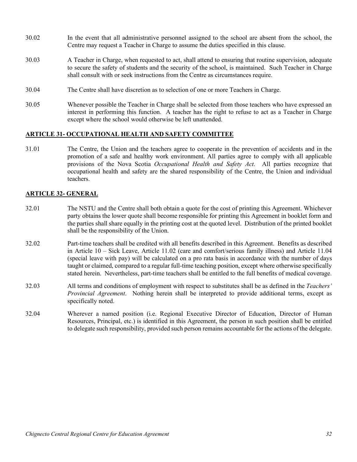- 30.02 In the event that all administrative personnel assigned to the school are absent from the school, the Centre may request a Teacher in Charge to assume the duties specified in this clause.
- 30.03 A Teacher in Charge, when requested to act, shall attend to ensuring that routine supervision, adequate to secure the safety of students and the security of the school, is maintained. Such Teacher in Charge shall consult with or seek instructions from the Centre as circumstances require.
- 30.04 The Centre shall have discretion as to selection of one or more Teachers in Charge.
- 30.05 Whenever possible the Teacher in Charge shall be selected from those teachers who have expressed an interest in performing this function. A teacher has the right to refuse to act as a Teacher in Charge except where the school would otherwise be left unattended.

#### **ARTICLE 31- OCCUPATIONAL HEALTH AND SAFETY COMMITTEE**

31.01 The Centre, the Union and the teachers agree to cooperate in the prevention of accidents and in the promotion of a safe and healthy work environment. All parties agree to comply with all applicable provisions of the Nova Scotia *Occupational Health and Safety Act*. All parties recognize that occupational health and safety are the shared responsibility of the Centre, the Union and individual teachers.

#### **ARTICLE 32- GENERAL**

- 32.01 The NSTU and the Centre shall both obtain a quote for the cost of printing this Agreement. Whichever party obtains the lower quote shall become responsible for printing this Agreement in booklet form and the parties shall share equally in the printing cost at the quoted level. Distribution of the printed booklet shall be the responsibility of the Union.
- 32.02 Part-time teachers shall be credited with all benefits described in this Agreement. Benefits as described in Article 10 – Sick Leave, Article 11.02 (care and comfort/serious family illness) and Article 11.04 (special leave with pay) will be calculated on a pro rata basis in accordance with the number of days taught or claimed, compared to a regular full-time teaching position, except where otherwise specifically stated herein. Nevertheless, part-time teachers shall be entitled to the full benefits of medical coverage.
- 32.03 All terms and conditions of employment with respect to substitutes shall be as defined in the *Teachers' Provincial Agreement*. Nothing herein shall be interpreted to provide additional terms, except as specifically noted.
- 32.04 Wherever a named position (i.e. Regional Executive Director of Education, Director of Human Resources, Principal, etc.) is identified in this Agreement, the person in such position shall be entitled to delegate such responsibility, provided such person remains accountable for the actions of the delegate.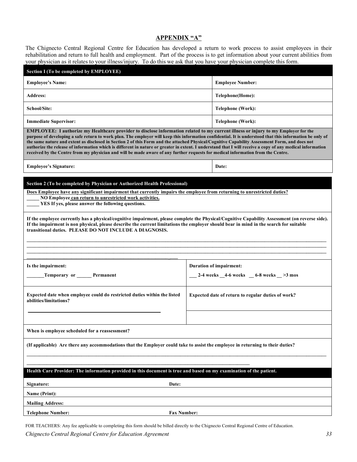#### **APPENDIX "A"**

The Chignecto Central Regional Centre for Education has developed a return to work process to assist employees in their rehabilitation and return to full health and employment. Part of the process is to get information about your current abilities from your physician as it relates to your illness/injury. To do this we ask that you have your physician complete this form.

| <b>Section I (To be completed by EMPLOYEE)</b>                                                                                                                                                                                                                                                                                                                                                                                                                                                                                                                                                                                                                                                                                                       |                                                 |  |  |  |
|------------------------------------------------------------------------------------------------------------------------------------------------------------------------------------------------------------------------------------------------------------------------------------------------------------------------------------------------------------------------------------------------------------------------------------------------------------------------------------------------------------------------------------------------------------------------------------------------------------------------------------------------------------------------------------------------------------------------------------------------------|-------------------------------------------------|--|--|--|
| <b>Employee's Name:</b>                                                                                                                                                                                                                                                                                                                                                                                                                                                                                                                                                                                                                                                                                                                              | <b>Employee Number:</b>                         |  |  |  |
| <b>Address:</b>                                                                                                                                                                                                                                                                                                                                                                                                                                                                                                                                                                                                                                                                                                                                      | Telephone(Home):                                |  |  |  |
| School/Site:                                                                                                                                                                                                                                                                                                                                                                                                                                                                                                                                                                                                                                                                                                                                         | Telephone (Work):                               |  |  |  |
| <b>Immediate Supervisor:</b>                                                                                                                                                                                                                                                                                                                                                                                                                                                                                                                                                                                                                                                                                                                         | Telephone (Work):                               |  |  |  |
| EMPLOYEE: I authorize my Healthcare provider to disclose information related to my current illness or injury to my Employer for the<br>purpose of developing a safe return to work plan. The employer will keep this information confidential. It is understood that this information be only of<br>the same nature and extent as disclosed in Section 2 of this Form and the attached Physical/Cognitive Capability Assessment Form, and does not<br>authorize the release of information which is different in nature or greater in extent. I understand that I will receive a copy of any medical information<br>received by the Centre from my physician and will be made aware of any further requests for medical information from the Centre. |                                                 |  |  |  |
| <b>Employee's Signature:</b>                                                                                                                                                                                                                                                                                                                                                                                                                                                                                                                                                                                                                                                                                                                         | Date:                                           |  |  |  |
| Section 2 (To be completed by Physician or Authorized Health Professional)<br>Does Employee have any significant impairment that currently impairs the employee from returning to unrestricted duties?<br>NO Employee can return to unrestricted work activities.<br>YES If yes, please answer the following questions.<br>If the employee currently has a physical/cognitive impairment, please complete the Physical/Cognitive Capability Assessment (on reverse side).<br>If the impairment is non physical, please describe the current limitations the employer should bear in mind in the search for suitable<br>transitional duties. PLEASE DO NOT INCLUDE A DIAGNOSIS.                                                                       |                                                 |  |  |  |
| Is the impairment:                                                                                                                                                                                                                                                                                                                                                                                                                                                                                                                                                                                                                                                                                                                                   | Duration of impairment:                         |  |  |  |
| <b>Temporary or Permanent</b>                                                                                                                                                                                                                                                                                                                                                                                                                                                                                                                                                                                                                                                                                                                        | $-2-4$ weeks $-4-6$ weeks $-6-8$ weeks $-3$ mos |  |  |  |
| Expected date when employee could do restricted duties within the listed<br>Expected date of return to regular duties of work?<br>abilities/limitations?                                                                                                                                                                                                                                                                                                                                                                                                                                                                                                                                                                                             |                                                 |  |  |  |
| When is employee scheduled for a reassessment?                                                                                                                                                                                                                                                                                                                                                                                                                                                                                                                                                                                                                                                                                                       |                                                 |  |  |  |
| (If applicable) Are there any accommodations that the Employer could take to assist the employee in returning to their duties?                                                                                                                                                                                                                                                                                                                                                                                                                                                                                                                                                                                                                       |                                                 |  |  |  |
| Health Care Provider: The information provided in this document is true and based on my examination of the patient.                                                                                                                                                                                                                                                                                                                                                                                                                                                                                                                                                                                                                                  |                                                 |  |  |  |
| Date:<br>Signature:                                                                                                                                                                                                                                                                                                                                                                                                                                                                                                                                                                                                                                                                                                                                  |                                                 |  |  |  |
| Name (Print):                                                                                                                                                                                                                                                                                                                                                                                                                                                                                                                                                                                                                                                                                                                                        |                                                 |  |  |  |
| <b>Mailing Address:</b>                                                                                                                                                                                                                                                                                                                                                                                                                                                                                                                                                                                                                                                                                                                              |                                                 |  |  |  |
| <b>Fax Number:</b><br><b>Telephone Number:</b>                                                                                                                                                                                                                                                                                                                                                                                                                                                                                                                                                                                                                                                                                                       |                                                 |  |  |  |

*Chignecto Central Regional Centre for Education Agreement 33* FOR TEACHERS: Any fee applicable to completing this form should be billed directly to the Chignecto Central Regional Centre of Education.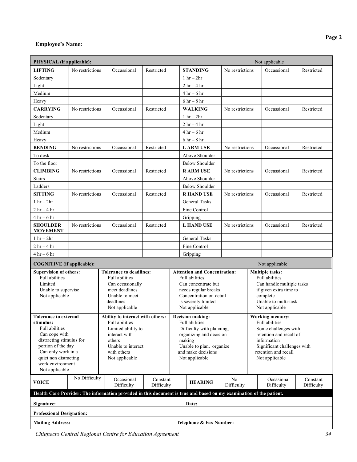| PHYSICAL (if applicable):<br>Not applicable                                                                                                                                                                                                                                                                                                                                       |                 |                                                                                                                                                                          |                        |                                                                                                                                                                                                                                                                                                                                                 |                                                                                |                  |  |                          |                        |
|-----------------------------------------------------------------------------------------------------------------------------------------------------------------------------------------------------------------------------------------------------------------------------------------------------------------------------------------------------------------------------------|-----------------|--------------------------------------------------------------------------------------------------------------------------------------------------------------------------|------------------------|-------------------------------------------------------------------------------------------------------------------------------------------------------------------------------------------------------------------------------------------------------------------------------------------------------------------------------------------------|--------------------------------------------------------------------------------|------------------|--|--------------------------|------------------------|
| <b>LIFTING</b>                                                                                                                                                                                                                                                                                                                                                                    | No restrictions | Occassional                                                                                                                                                              | Restricted             |                                                                                                                                                                                                                                                                                                                                                 | <b>STANDING</b>                                                                | No restrictions  |  | Occassional              | Restricted             |
| Sedentary                                                                                                                                                                                                                                                                                                                                                                         |                 |                                                                                                                                                                          |                        |                                                                                                                                                                                                                                                                                                                                                 | $1 \text{ hr} - 2 \text{hr}$                                                   |                  |  |                          |                        |
| Light                                                                                                                                                                                                                                                                                                                                                                             |                 |                                                                                                                                                                          |                        |                                                                                                                                                                                                                                                                                                                                                 | $2 hr - 4 hr$                                                                  |                  |  |                          |                        |
| Medium                                                                                                                                                                                                                                                                                                                                                                            |                 |                                                                                                                                                                          |                        |                                                                                                                                                                                                                                                                                                                                                 | $4 hr - 6 hr$                                                                  |                  |  |                          |                        |
| Heavy                                                                                                                                                                                                                                                                                                                                                                             |                 |                                                                                                                                                                          |                        |                                                                                                                                                                                                                                                                                                                                                 | $6 hr - 8 hr$                                                                  |                  |  |                          |                        |
| <b>CARRYING</b>                                                                                                                                                                                                                                                                                                                                                                   | No restrictions | Occassional                                                                                                                                                              | Restricted             |                                                                                                                                                                                                                                                                                                                                                 | <b>WALKING</b>                                                                 | No restrictions  |  | Occassional              | Restricted             |
| Sedentary                                                                                                                                                                                                                                                                                                                                                                         |                 |                                                                                                                                                                          |                        | $1 \text{ hr} - 2 \text{hr}$                                                                                                                                                                                                                                                                                                                    |                                                                                |                  |  |                          |                        |
| Light                                                                                                                                                                                                                                                                                                                                                                             |                 |                                                                                                                                                                          |                        |                                                                                                                                                                                                                                                                                                                                                 | $2 \text{ hr} - 4 \text{ hr}$                                                  |                  |  |                          |                        |
| Medium                                                                                                                                                                                                                                                                                                                                                                            |                 |                                                                                                                                                                          |                        |                                                                                                                                                                                                                                                                                                                                                 | $4 hr - 6 hr$                                                                  |                  |  |                          |                        |
| Heavy                                                                                                                                                                                                                                                                                                                                                                             |                 |                                                                                                                                                                          |                        |                                                                                                                                                                                                                                                                                                                                                 | $6 hr - 8 hr$                                                                  |                  |  |                          |                        |
| <b>BENDING</b>                                                                                                                                                                                                                                                                                                                                                                    | No restrictions | Occassional                                                                                                                                                              | Restricted             |                                                                                                                                                                                                                                                                                                                                                 | <b>LARMUSE</b>                                                                 | No restrictions  |  | Occassional              | Restricted             |
| To desk                                                                                                                                                                                                                                                                                                                                                                           |                 |                                                                                                                                                                          |                        |                                                                                                                                                                                                                                                                                                                                                 | Above Shoulder                                                                 |                  |  |                          |                        |
| To the floor                                                                                                                                                                                                                                                                                                                                                                      |                 |                                                                                                                                                                          |                        |                                                                                                                                                                                                                                                                                                                                                 | <b>Below Shoulder</b>                                                          |                  |  |                          |                        |
| <b>CLIMBING</b>                                                                                                                                                                                                                                                                                                                                                                   | No restrictions | Occassional                                                                                                                                                              | Restricted             |                                                                                                                                                                                                                                                                                                                                                 | <b>RARMUSE</b>                                                                 | No restrictions  |  | Occassional              | Restricted             |
| <b>Stairs</b>                                                                                                                                                                                                                                                                                                                                                                     |                 |                                                                                                                                                                          |                        |                                                                                                                                                                                                                                                                                                                                                 | Above Shoulder                                                                 |                  |  |                          |                        |
| Ladders                                                                                                                                                                                                                                                                                                                                                                           |                 |                                                                                                                                                                          |                        |                                                                                                                                                                                                                                                                                                                                                 | <b>Below Shoulder</b>                                                          |                  |  |                          |                        |
| <b>SITTING</b>                                                                                                                                                                                                                                                                                                                                                                    | No restrictions | Occassional                                                                                                                                                              | Restricted             |                                                                                                                                                                                                                                                                                                                                                 | <b>R HAND USE</b>                                                              | No restrictions  |  | Occassional              | Restricted             |
| $1 hr - 2hr$                                                                                                                                                                                                                                                                                                                                                                      |                 |                                                                                                                                                                          |                        |                                                                                                                                                                                                                                                                                                                                                 | <b>General Tasks</b>                                                           |                  |  |                          |                        |
| $2 hr - 4 hr$                                                                                                                                                                                                                                                                                                                                                                     |                 |                                                                                                                                                                          |                        |                                                                                                                                                                                                                                                                                                                                                 | Fine Control                                                                   |                  |  |                          |                        |
| $4 hr - 6 hr$                                                                                                                                                                                                                                                                                                                                                                     |                 |                                                                                                                                                                          |                        |                                                                                                                                                                                                                                                                                                                                                 | Gripping                                                                       |                  |  |                          |                        |
| <b>SHOULDER</b><br><b>MOVEMENT</b>                                                                                                                                                                                                                                                                                                                                                | No restrictions | Occassional                                                                                                                                                              | Restricted             |                                                                                                                                                                                                                                                                                                                                                 | <b>L HAND USE</b>                                                              | No restrictions  |  | Occassional              | Restricted             |
| $1 hr - 2hr$                                                                                                                                                                                                                                                                                                                                                                      |                 |                                                                                                                                                                          |                        |                                                                                                                                                                                                                                                                                                                                                 | <b>General Tasks</b>                                                           |                  |  |                          |                        |
| $2 hr - 4 hr$                                                                                                                                                                                                                                                                                                                                                                     |                 |                                                                                                                                                                          |                        |                                                                                                                                                                                                                                                                                                                                                 | Fine Control                                                                   |                  |  |                          |                        |
| $4 hr - 6 hr$                                                                                                                                                                                                                                                                                                                                                                     |                 |                                                                                                                                                                          |                        |                                                                                                                                                                                                                                                                                                                                                 | Gripping                                                                       |                  |  |                          |                        |
| <b>COGNITIVE</b> (if applicable):                                                                                                                                                                                                                                                                                                                                                 |                 |                                                                                                                                                                          |                        |                                                                                                                                                                                                                                                                                                                                                 |                                                                                |                  |  | Not applicable           |                        |
| <b>Supervision of others:</b><br><b>Tolerance to deadlines:</b><br><b>Full abilities</b><br><b>Full abilities</b><br>Limited<br>Can occasionally<br>Unable to supervise<br>meet deadlines<br>Not applicable<br>Unable to meet<br>deadlines<br>Not applicable                                                                                                                      |                 |                                                                                                                                                                          |                        | <b>Attention and Concentration:</b><br><b>Multiple tasks:</b><br><b>Full abilities</b><br><b>Full abilities</b><br>Can concentrate but<br>Can handle multiple tasks<br>needs regular breaks<br>if given extra time to<br>Concentration on detail<br>complete<br>Unable to multi-task<br>is severely limited<br>Not applicable<br>Not applicable |                                                                                |                  |  |                          |                        |
| Tolerance to external<br>Ability to interact with others:<br>Full abilities<br>stimulus:<br><b>Full abilities</b><br>Limited ability to<br>Can cope with<br>interact with<br>distracting stimulus for<br>others<br>portion of the day<br>Unable to interact<br>Can only work in a<br>with others<br>quiet non distracting<br>Not applicable<br>work environment<br>Not applicable |                 | Decision making:<br>Full abilities<br>Difficulty with planning,<br>organizing and decision<br>making<br>Unable to plan, organize<br>and make decisions<br>Not applicable |                        | <b>Working memory:</b><br>Full abilities<br>information<br>retention and recall<br>Not applicable                                                                                                                                                                                                                                               | Some challenges with<br>retention and recall of<br>Significant challenges with |                  |  |                          |                        |
| <b>VOICE</b>                                                                                                                                                                                                                                                                                                                                                                      | No Difficulty   | Occasional<br>Difficulty                                                                                                                                                 | Constant<br>Difficulty |                                                                                                                                                                                                                                                                                                                                                 | <b>HEARING</b>                                                                 | No<br>Difficulty |  | Occasional<br>Difficulty | Constant<br>Difficulty |
| Health Care Provider: The information provided in this document is true and based on my examination of the patient.                                                                                                                                                                                                                                                               |                 |                                                                                                                                                                          |                        |                                                                                                                                                                                                                                                                                                                                                 |                                                                                |                  |  |                          |                        |
| Date:<br>Signature:                                                                                                                                                                                                                                                                                                                                                               |                 |                                                                                                                                                                          |                        |                                                                                                                                                                                                                                                                                                                                                 |                                                                                |                  |  |                          |                        |
| <b>Professional Designation:</b>                                                                                                                                                                                                                                                                                                                                                  |                 |                                                                                                                                                                          |                        |                                                                                                                                                                                                                                                                                                                                                 |                                                                                |                  |  |                          |                        |
| Telephone & Fax Number:<br><b>Mailing Address:</b>                                                                                                                                                                                                                                                                                                                                |                 |                                                                                                                                                                          |                        |                                                                                                                                                                                                                                                                                                                                                 |                                                                                |                  |  |                          |                        |

*Chignecto Central Regional Centre for Education Agreement 34*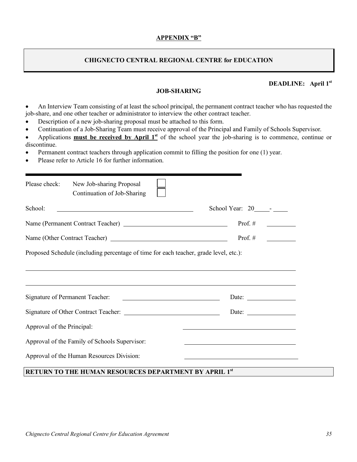#### **APPENDIX "B"**

#### **CHIGNECTO CENTRAL REGIONAL CENTRE for EDUCATION**

## **DEADLINE: April 1st**

#### **JOB-SHARING**

- An Interview Team consisting of at least the school principal, the permanent contract teacher who has requested the job-share, and one other teacher or administrator to interview the other contract teacher.
- Description of a new job-sharing proposal must be attached to this form.
- Continuation of a Job-Sharing Team must receive approval of the Principal and Family of Schools Supervisor.
- Applications **must be received by April 1st** of the school year the job-sharing is to commence, continue or discontinue.
- Permanent contract teachers through application commit to filling the position for one (1) year.
- Please refer to Article 16 for further information.

| Please check:              | New Job-sharing Proposal<br>Continuation of Job-Sharing                               |                                                          |
|----------------------------|---------------------------------------------------------------------------------------|----------------------------------------------------------|
| School:                    |                                                                                       | School Year: $20$ - $-$                                  |
|                            |                                                                                       | Prof. $#$                                                |
|                            | Prof. $#$                                                                             |                                                          |
|                            | Proposed Schedule (including percentage of time for each teacher, grade level, etc.): |                                                          |
|                            | ,我们也不会有什么?""我们的人,我们也不会有什么?""我们的人,我们也不会有什么?""我们的人,我们也不会有什么?""我们的人,我们也不会有什么?""我们的人      | Date: $\frac{1}{\sqrt{1-\frac{1}{2}} \cdot \frac{1}{2}}$ |
|                            |                                                                                       | Date: $\qquad \qquad$                                    |
| Approval of the Principal: |                                                                                       |                                                          |
|                            | Approval of the Family of Schools Supervisor:                                         |                                                          |
|                            | Approval of the Human Resources Division:                                             |                                                          |

## **RETURN TO THE HUMAN RESOURCES DEPARTMENT BY APRIL 1st**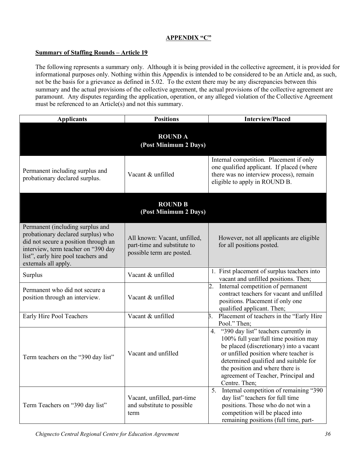## **APPENDIX "C"**

## **Summary of Staffing Rounds – Article 19**

The following represents a summary only. Although it is being provided in the collective agreement, it is provided for informational purposes only. Nothing within this Appendix is intended to be considered to be an Article and, as such, not be the basis for a grievance as defined in 5.02. To the extent there may be any discrepancies between this summary and the actual provisions of the collective agreement, the actual provisions of the collective agreement are paramount. Any disputes regarding the application, operation, or any alleged violation of the Collective Agreement must be referenced to an Article(s) and not this summary.

| <b>Applicants</b>                                                                                                                                                                                                    | <b>Positions</b>                                                                         | <b>Interview/Placed</b>                                                                                                                                                                                                                                                                                     |  |  |
|----------------------------------------------------------------------------------------------------------------------------------------------------------------------------------------------------------------------|------------------------------------------------------------------------------------------|-------------------------------------------------------------------------------------------------------------------------------------------------------------------------------------------------------------------------------------------------------------------------------------------------------------|--|--|
|                                                                                                                                                                                                                      | <b>ROUND A</b><br>(Post Minimum 2 Days)                                                  |                                                                                                                                                                                                                                                                                                             |  |  |
| Permanent including surplus and<br>probationary declared surplus.                                                                                                                                                    | Vacant & unfilled                                                                        | Internal competition. Placement if only<br>one qualified applicant. If placed (where<br>there was no interview process), remain<br>eligible to apply in ROUND B.                                                                                                                                            |  |  |
|                                                                                                                                                                                                                      | <b>ROUND B</b><br>(Post Minimum 2 Days)                                                  |                                                                                                                                                                                                                                                                                                             |  |  |
| Permanent (including surplus and<br>probationary declared surplus) who<br>did not secure a position through an<br>interview, term teacher on "390 day<br>list", early hire pool teachers and<br>externals all apply. | All known: Vacant, unfilled,<br>part-time and substitute to<br>possible term are posted. | However, not all applicants are eligible<br>for all positions posted.                                                                                                                                                                                                                                       |  |  |
| Surplus                                                                                                                                                                                                              | Vacant & unfilled                                                                        | First placement of surplus teachers into<br>vacant and unfilled positions. Then;                                                                                                                                                                                                                            |  |  |
| Permanent who did not secure a<br>position through an interview.                                                                                                                                                     | Vacant & unfilled                                                                        | 2.<br>Internal competition of permanent<br>contract teachers for vacant and unfilled<br>positions. Placement if only one<br>qualified applicant. Then;                                                                                                                                                      |  |  |
| Early Hire Pool Teachers                                                                                                                                                                                             | Vacant & unfilled                                                                        | Placement of teachers in the "Early Hire<br>Β.<br>Pool." Then;                                                                                                                                                                                                                                              |  |  |
| Term teachers on the "390 day list"                                                                                                                                                                                  | Vacant and unfilled                                                                      | "390 day list" teachers currently in<br>4.<br>100% full year/full time position may<br>be placed (discretionary) into a vacant<br>or unfilled position where teacher is<br>determined qualified and suitable for<br>the position and where there is<br>agreement of Teacher, Principal and<br>Centre. Then; |  |  |
| Term Teachers on "390 day list"                                                                                                                                                                                      | Vacant, unfilled, part-time<br>and substitute to possible<br>term                        | Internal competition of remaining "390<br>5.<br>day list" teachers for full time<br>positions. Those who do not win a<br>competition will be placed into<br>remaining positions (full time, part-                                                                                                           |  |  |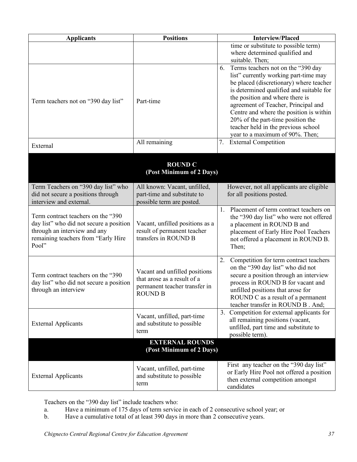| <b>Applicants</b>                                                                                                                                             | <b>Positions</b>                                                                                                | <b>Interview/Placed</b>                                                                                                                                                                                                                                                                                                                                                                                      |
|---------------------------------------------------------------------------------------------------------------------------------------------------------------|-----------------------------------------------------------------------------------------------------------------|--------------------------------------------------------------------------------------------------------------------------------------------------------------------------------------------------------------------------------------------------------------------------------------------------------------------------------------------------------------------------------------------------------------|
|                                                                                                                                                               |                                                                                                                 | time or substitute to possible term)<br>where determined qualified and<br>suitable. Then;                                                                                                                                                                                                                                                                                                                    |
| Term teachers not on "390 day list"                                                                                                                           | Part-time                                                                                                       | Terms teachers not on the "390 day<br>6.<br>list" currently working part-time may<br>be placed (discretionary) where teacher<br>is determined qualified and suitable for<br>the position and where there is<br>agreement of Teacher, Principal and<br>Centre and where the position is within<br>20% of the part-time position the<br>teacher held in the previous school<br>year to a maximum of 90%. Then; |
| External                                                                                                                                                      | All remaining                                                                                                   | <b>External Competition</b><br>7.                                                                                                                                                                                                                                                                                                                                                                            |
|                                                                                                                                                               | <b>ROUND C</b><br>(Post Minimum of 2 Days)                                                                      |                                                                                                                                                                                                                                                                                                                                                                                                              |
| Term Teachers on "390 day list" who<br>did not secure a positions through<br>interview and external.                                                          | All known: Vacant, unfilled,<br>part-time and substitute to<br>possible term are posted.                        | However, not all applicants are eligible<br>for all positions posted.                                                                                                                                                                                                                                                                                                                                        |
| Term contract teachers on the "390<br>day list" who did not secure a position<br>through an interview and any<br>remaining teachers from "Early Hire<br>Pool" | Vacant, unfilled positions as a<br>result of permanent teacher<br>transfers in ROUND B                          | 1. Placement of term contract teachers on<br>the "390 day list" who were not offered<br>a placement in ROUND B and<br>placement of Early Hire Pool Teachers<br>not offered a placement in ROUND B.<br>Then;                                                                                                                                                                                                  |
| Term contract teachers on the "390<br>day list" who did not secure a position<br>through an interview                                                         | Vacant and unfilled positions<br>that arose as a result of a<br>permanent teacher transfer in<br><b>ROUND B</b> | 2.<br>Competition for term contract teachers<br>on the "390 day list" who did not<br>secure a position through an interview<br>process in ROUND B for vacant and<br>unfilled positions that arose for<br>ROUND C as a result of a permanent<br>teacher transfer in ROUND B. And;                                                                                                                             |
| <b>External Applicants</b>                                                                                                                                    | Vacant, unfilled, part-time<br>and substitute to possible<br>term                                               | 3. Competition for external applicants for<br>all remaining positions (vacant,<br>unfilled, part time and substitute to<br>possible term).                                                                                                                                                                                                                                                                   |
|                                                                                                                                                               | <b>EXTERNAL ROUNDS</b><br>(Post Minimum of 2 Days)                                                              |                                                                                                                                                                                                                                                                                                                                                                                                              |
| <b>External Applicants</b>                                                                                                                                    | Vacant, unfilled, part-time<br>and substitute to possible<br>term                                               | First any teacher on the "390 day list"<br>or Early Hire Pool not offered a position<br>then external competition amongst<br>candidates                                                                                                                                                                                                                                                                      |

Teachers on the "390 day list" include teachers who:

- a. Have a minimum of 175 days of term service in each of 2 consecutive school year; or
- b. Have a cumulative total of at least 390 days in more than 2 consecutive years.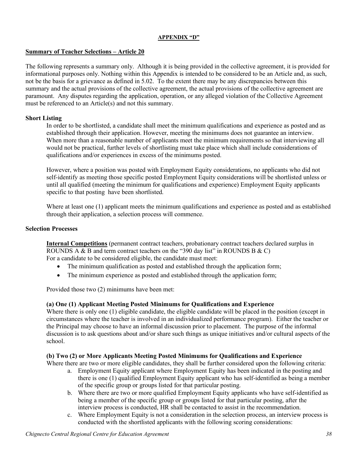#### **APPENDIX "D"**

## **Summary of Teacher Selections – Article 20**

The following represents a summary only. Although it is being provided in the collective agreement, it is provided for informational purposes only. Nothing within this Appendix is intended to be considered to be an Article and, as such, not be the basis for a grievance as defined in 5.02. To the extent there may be any discrepancies between this summary and the actual provisions of the collective agreement, the actual provisions of the collective agreement are paramount. Any disputes regarding the application, operation, or any alleged violation of the Collective Agreement must be referenced to an Article(s) and not this summary.

#### **Short Listing**

In order to be shortlisted, a candidate shall meet the minimum qualifications and experience as posted and as established through their application. However, meeting the minimums does not guarantee an interview. When more than a reasonable number of applicants meet the minimum requirements so that interviewing all would not be practical, further levels of shortlisting must take place which shall include considerations of qualifications and/or experiences in excess of the minimums posted.

However, where a position was posted with Employment Equity considerations, no applicants who did not self-identify as meeting those specific posted Employment Equity considerations will be shortlisted unless or until all qualified (meeting the minimum for qualifications and experience) Employment Equity applicants specific to that posting have been shortlisted.

Where at least one (1) applicant meets the minimum qualifications and experience as posted and as established through their application, a selection process will commence.

#### **Selection Processes**

**Internal Competitions** (permanent contract teachers, probationary contract teachers declared surplus in ROUNDS A  $\&$  B and term contract teachers on the "390 day list" in ROUNDS B  $\&$  C) For a candidate to be considered eligible, the candidate must meet:

- The minimum qualification as posted and established through the application form;
- The minimum experience as posted and established through the application form;

Provided those two (2) minimums have been met:

#### **(a) One (1) Applicant Meeting Posted Minimums for Qualifications and Experience**

Where there is only one (1) eligible candidate, the eligible candidate will be placed in the position (except in circumstances where the teacher is involved in an individualized performance program). Either the teacher or the Principal may choose to have an informal discussion prior to placement. The purpose of the informal discussion is to ask questions about and/or share such things as unique initiatives and/or cultural aspects of the school.

#### **(b) Two (2) or More Applicants Meeting Posted Minimums for Qualifications and Experience**

Where there are two or more eligible candidates, they shall be further considered upon the following criteria:

- a. Employment Equity applicant where Employment Equity has been indicated in the posting and there is one (1) qualified Employment Equity applicant who has self-identified as being a member of the specific group or groups listed for that particular posting.
- b. Where there are two or more qualified Employment Equity applicants who have self-identified as being a member of the specific group or groups listed for that particular posting, after the interview process is conducted, HR shall be contacted to assist in the recommendation.
- c. Where Employment Equity is not a consideration in the selection process, an interview process is conducted with the shortlisted applicants with the following scoring considerations: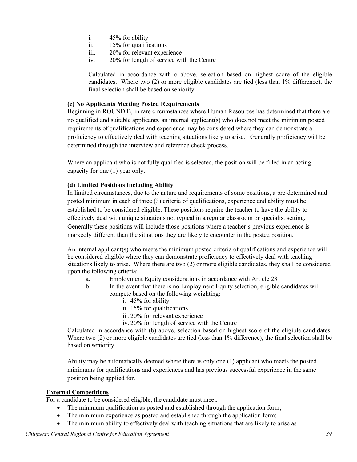- i. 45% for ability
- ii. 15% for qualifications
- iii. 20% for relevant experience
- iv. 20% for length of service with the Centre

Calculated in accordance with c above, selection based on highest score of the eligible candidates.Where two (2) or more eligible candidates are tied (less than 1% difference), the final selection shall be based on seniority.

## **(c) No Applicants Meeting Posted Requirements**

Beginning in ROUND B, in rare circumstances where Human Resources has determined that there are no qualified and suitable applicants, an internal applicant(s) who does not meet the minimum posted requirements of qualifications and experience may be considered where they can demonstrate a proficiency to effectively deal with teaching situations likely to arise. Generally proficiency will be determined through the interview and reference check process.

Where an applicant who is not fully qualified is selected, the position will be filled in an acting capacity for one (1) year only.

## **(d) Limited Positions Including Ability**

In limited circumstances, due to the nature and requirements of some positions, a pre-determined and posted minimum in each of three (3) criteria of qualifications, experience and ability must be established to be considered eligible. These positions require the teacher to have the ability to effectively deal with unique situations not typical in a regular classroom or specialist setting. Generally these positions will include those positions where a teacher's previous experience is markedly different than the situations they are likely to encounter in the posted position.

An internal applicant(s) who meets the minimum posted criteria of qualifications and experience will be considered eligible where they can demonstrate proficiency to effectively deal with teaching situations likely to arise. Where there are two (2) or more eligible candidates, they shall be considered upon the following criteria:

- a. Employment Equity considerations in accordance with Article 23
- b. In the event that there is no Employment Equity selection, eligible candidates will compete based on the following weighting:
	- i. 45% for ability
	- ii. 15% for qualifications
	- iii.20% for relevant experience
	- iv. 20% for length of service with the Centre

Calculated in accordance with (b) above, selection based on highest score of the eligible candidates. Where two (2) or more eligible candidates are tied (less than 1% difference), the final selection shall be based on seniority.

Ability may be automatically deemed where there is only one (1) applicant who meets the posted minimums for qualifications and experiences and has previous successful experience in the same position being applied for.

#### **External Competitions**

For a candidate to be considered eligible, the candidate must meet:

- The minimum qualification as posted and established through the application form;
- The minimum experience as posted and established through the application form;
- The minimum ability to effectively deal with teaching situations that are likely to arise as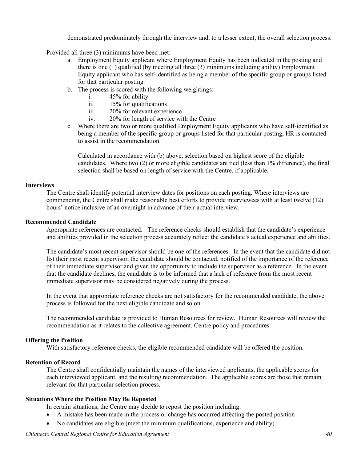demonstrated predominately through the interview and, to a lesser extent, the overall selection process.

Provided all three (3) minimums have been met:

- a. Employment Equity applicant where Employment Equity has been indicated in the posting and there is one (1) qualified (by meeting all three (3) minimums including ability) Employment Equity applicant who has self-identified as being a member of the specific group or groups listed for that particular posting.
- b. The process is scored with the following weightings:
	- i. 45% for ability
	- ii. 15% for qualifications
	- iii. 20% for relevant experience
	- iv. 20% for length of service with the Centre
- c. Where there are two or more qualified Employment Equity applicants who have self-identified as being a member of the specific group or groups listed for that particular posting, HR is contacted to assist in the recommendation.

Calculated in accordance with (b) above, selection based on highest score of the eligible candidates.Where two (2) or more eligible candidates are tied (less than 1% difference), the final selection shall be based on length of service with the Centre, if applicable.

#### **Interviews**

The Centre shall identify potential interview dates for positions on each posting. Where interviews are commencing, the Centre shall make reasonable best efforts to provide interviewees with at least twelve (12) hours' notice inclusive of an overnight in advance of their actual interview.

#### **Recommended Candidate**

Appropriate references are contacted. The reference checks should establish that the candidate's experience and abilities provided in the selection process accurately reflect the candidate's actual experience and abilities.

The candidate's most recent supervisor should be one of the references. In the event that the candidate did not list their most recent supervisor, the candidate should be contacted, notified of the importance of the reference of their immediate supervisor and given the opportunity to include the supervisor as a reference. In the event that the candidate declines, the candidate is to be informed that a lack of reference from the most recent immediate supervisor may be considered negatively during the process.

In the event that appropriate reference checks are not satisfactory for the recommended candidate, the above process is followed for the next eligible candidate and so on.

The recommended candidate is provided to Human Resources for review. Human Resources will review the recommendation as it relates to the collective agreement, Centre policy and procedures.

#### **Offering the Position**

With satisfactory reference checks, the eligible recommended candidate will be offered the position.

## **Retention of Record**

The Centre shall confidentially maintain the names of the interviewed applicants, the applicable scores for each interviewed applicant, and the resulting recommendation. The applicable scores are those that remain relevant for that particular selection process.

#### **Situations Where the Position May Be Reposted**

In certain situations, the Centre may decide to repost the position including:

- A mistake has been made in the process or change has occurred affecting the posted position
- No candidates are eligible (meet the minimum qualifications, experience and ability)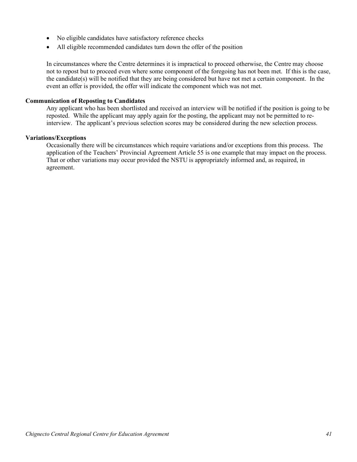- No eligible candidates have satisfactory reference checks
- All eligible recommended candidates turn down the offer of the position

In circumstances where the Centre determines it is impractical to proceed otherwise, the Centre may choose not to repost but to proceed even where some component of the foregoing has not been met. If this is the case, the candidate(s) will be notified that they are being considered but have not met a certain component. In the event an offer is provided, the offer will indicate the component which was not met.

#### **Communication of Reposting to Candidates**

Any applicant who has been shortlisted and received an interview will be notified if the position is going to be reposted. While the applicant may apply again for the posting, the applicant may not be permitted to reinterview. The applicant's previous selection scores may be considered during the new selection process.

#### **Variations/Exceptions**

Occasionally there will be circumstances which require variations and/or exceptions from this process. The application of the Teachers' Provincial Agreement Article 55 is one example that may impact on the process. That or other variations may occur provided the NSTU is appropriately informed and, as required, in agreement.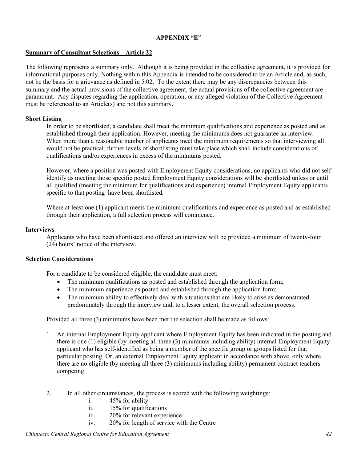#### **APPENDIX "E"**

## **Summary of Consultant Selections – Article 22**

The following represents a summary only. Although it is being provided in the collective agreement, it is provided for informational purposes only. Nothing within this Appendix is intended to be considered to be an Article and, as such, not be the basis for a grievance as defined in 5.02. To the extent there may be any discrepancies between this summary and the actual provisions of the collective agreement, the actual provisions of the collective agreement are paramount. Any disputes regarding the application, operation, or any alleged violation of the Collective Agreement must be referenced to an Article(s) and not this summary.

#### **Short Listing**

In order to be shortlisted, a candidate shall meet the minimum qualifications and experience as posted and as established through their application. However, meeting the minimums does not guarantee an interview. When more than a reasonable number of applicants meet the minimum requirements so that interviewing all would not be practical, further levels of shortlisting must take place which shall include considerations of qualifications and/or experiences in excess of the minimums posted.

However, where a position was posted with Employment Equity considerations, no applicants who did not self identify as meeting those specific posted Employment Equity considerations will be shortlisted unless or until all qualified (meeting the minimum for qualifications and experience) internal Employment Equity applicants specific to that posting have been shortlisted.

Where at least one (1) applicant meets the minimum qualifications and experience as posted and as established through their application, a full selection process will commence.

#### **Interviews**

Applicants who have been shortlisted and offered an interview will be provided a minimum of twenty-four (24) hours' notice of the interview.

#### **Selection Considerations**

For a candidate to be considered eligible, the candidate must meet:

- The minimum qualifications as posted and established through the application form;
- The minimum experience as posted and established through the application form;
- The minimum ability to effectively deal with situations that are likely to arise as demonstrated predominately through the interview and, to a lesser extent, the overall selection process.

Provided all three (3) minimums have been met the selection shall be made as follows:

- 1. An internal Employment Equity applicant where Employment Equity has been indicated in the posting and there is one (1) eligible (by meeting all three (3) minimums including ability) internal Employment Equity applicant who has self-identified as being a member of the specific group or groups listed for that particular posting. Or, an external Employment Equity applicant in accordance with above, only where there are no eligible (by meeting all three (3) minimums including ability) permanent contract teachers competing.
- 2. In all other circumstances, the process is scored with the following weightings:
	- i. 45% for ability
	- ii. 15% for qualifications
	- iii. 20% for relevant experience
	- iv. 20% for length of service with the Centre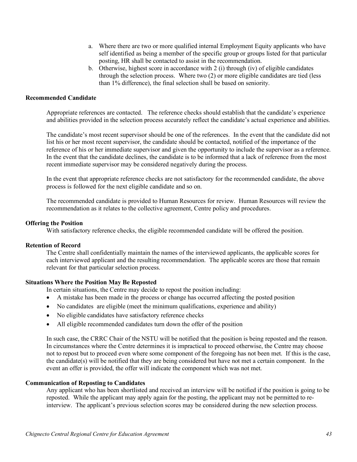- a. Where there are two or more qualified internal Employment Equity applicants who have self identified as being a member of the specific group or groups listed for that particular posting, HR shall be contacted to assist in the recommendation.
- b. Otherwise, highest score in accordance with 2 (i) through (iv) of eligible candidates through the selection process. Where two (2) or more eligible candidates are tied (less than 1% difference), the final selection shall be based on seniority.

#### **Recommended Candidate**

Appropriate references are contacted. The reference checks should establish that the candidate's experience and abilities provided in the selection process accurately reflect the candidate's actual experience and abilities.

The candidate's most recent supervisor should be one of the references. In the event that the candidate did not list his or her most recent supervisor, the candidate should be contacted, notified of the importance of the reference of his or her immediate supervisor and given the opportunity to include the supervisor as a reference. In the event that the candidate declines, the candidate is to be informed that a lack of reference from the most recent immediate supervisor may be considered negatively during the process.

In the event that appropriate reference checks are not satisfactory for the recommended candidate, the above process is followed for the next eligible candidate and so on.

The recommended candidate is provided to Human Resources for review. Human Resources will review the recommendation as it relates to the collective agreement, Centre policy and procedures.

#### **Offering the Position**

With satisfactory reference checks, the eligible recommended candidate will be offered the position.

#### **Retention of Record**

The Centre shall confidentially maintain the names of the interviewed applicants, the applicable scores for each interviewed applicant and the resulting recommendation. The applicable scores are those that remain relevant for that particular selection process.

#### **Situations Where the Position May Be Reposted**

In certain situations, the Centre may decide to repost the position including:

- A mistake has been made in the process or change has occurred affecting the posted position
- No candidates are eligible (meet the minimum qualifications, experience and ability)
- No eligible candidates have satisfactory reference checks
- All eligible recommended candidates turn down the offer of the position

In such case, the CRRC Chair of the NSTU will be notified that the position is being reposted and the reason. In circumstances where the Centre determines it is impractical to proceed otherwise, the Centre may choose not to repost but to proceed even where some component of the foregoing has not been met. If this is the case, the candidate(s) will be notified that they are being considered but have not met a certain component. In the event an offer is provided, the offer will indicate the component which was not met.

#### **Communication of Reposting to Candidates**

Any applicant who has been shortlisted and received an interview will be notified if the position is going to be reposted. While the applicant may apply again for the posting, the applicant may not be permitted to reinterview. The applicant's previous selection scores may be considered during the new selection process.